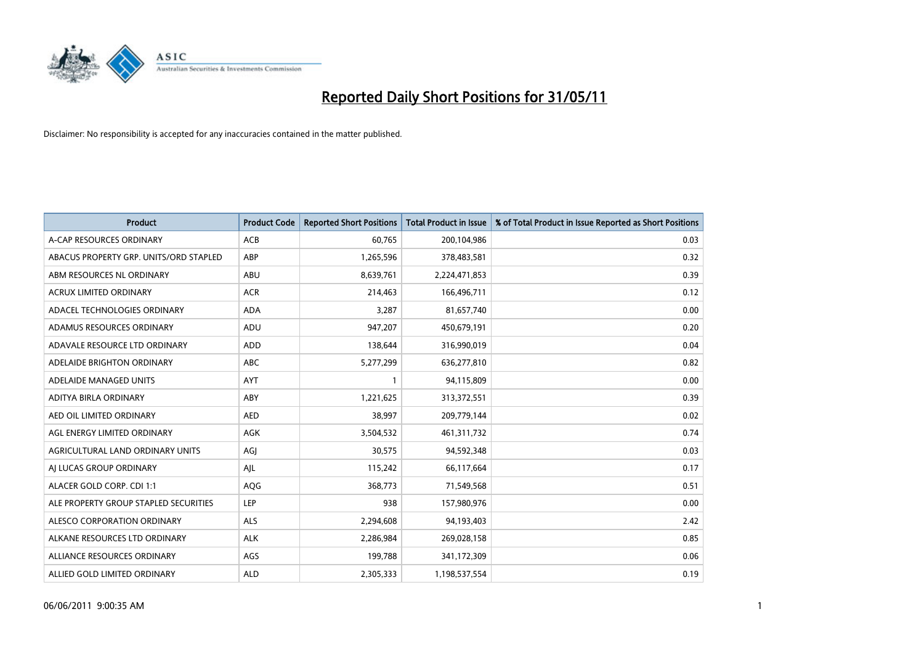

| <b>Product</b>                         | <b>Product Code</b> | <b>Reported Short Positions</b> | <b>Total Product in Issue</b> | % of Total Product in Issue Reported as Short Positions |
|----------------------------------------|---------------------|---------------------------------|-------------------------------|---------------------------------------------------------|
| A-CAP RESOURCES ORDINARY               | ACB                 | 60,765                          | 200,104,986                   | 0.03                                                    |
| ABACUS PROPERTY GRP. UNITS/ORD STAPLED | ABP                 | 1,265,596                       | 378,483,581                   | 0.32                                                    |
| ABM RESOURCES NL ORDINARY              | ABU                 | 8,639,761                       | 2,224,471,853                 | 0.39                                                    |
| ACRUX LIMITED ORDINARY                 | <b>ACR</b>          | 214,463                         | 166,496,711                   | 0.12                                                    |
| ADACEL TECHNOLOGIES ORDINARY           | <b>ADA</b>          | 3,287                           | 81,657,740                    | 0.00                                                    |
| ADAMUS RESOURCES ORDINARY              | ADU                 | 947,207                         | 450,679,191                   | 0.20                                                    |
| ADAVALE RESOURCE LTD ORDINARY          | ADD                 | 138,644                         | 316,990,019                   | 0.04                                                    |
| ADELAIDE BRIGHTON ORDINARY             | <b>ABC</b>          | 5,277,299                       | 636,277,810                   | 0.82                                                    |
| ADELAIDE MANAGED UNITS                 | <b>AYT</b>          |                                 | 94,115,809                    | 0.00                                                    |
| ADITYA BIRLA ORDINARY                  | ABY                 | 1,221,625                       | 313,372,551                   | 0.39                                                    |
| AED OIL LIMITED ORDINARY               | <b>AED</b>          | 38,997                          | 209,779,144                   | 0.02                                                    |
| AGL ENERGY LIMITED ORDINARY            | <b>AGK</b>          | 3,504,532                       | 461,311,732                   | 0.74                                                    |
| AGRICULTURAL LAND ORDINARY UNITS       | AGJ                 | 30.575                          | 94,592,348                    | 0.03                                                    |
| AI LUCAS GROUP ORDINARY                | AJL                 | 115,242                         | 66,117,664                    | 0.17                                                    |
| ALACER GOLD CORP. CDI 1:1              | AQG                 | 368,773                         | 71,549,568                    | 0.51                                                    |
| ALE PROPERTY GROUP STAPLED SECURITIES  | LEP                 | 938                             | 157,980,976                   | 0.00                                                    |
| ALESCO CORPORATION ORDINARY            | <b>ALS</b>          | 2,294,608                       | 94,193,403                    | 2.42                                                    |
| ALKANE RESOURCES LTD ORDINARY          | <b>ALK</b>          | 2,286,984                       | 269,028,158                   | 0.85                                                    |
| ALLIANCE RESOURCES ORDINARY            | AGS                 | 199,788                         | 341,172,309                   | 0.06                                                    |
| ALLIED GOLD LIMITED ORDINARY           | <b>ALD</b>          | 2,305,333                       | 1,198,537,554                 | 0.19                                                    |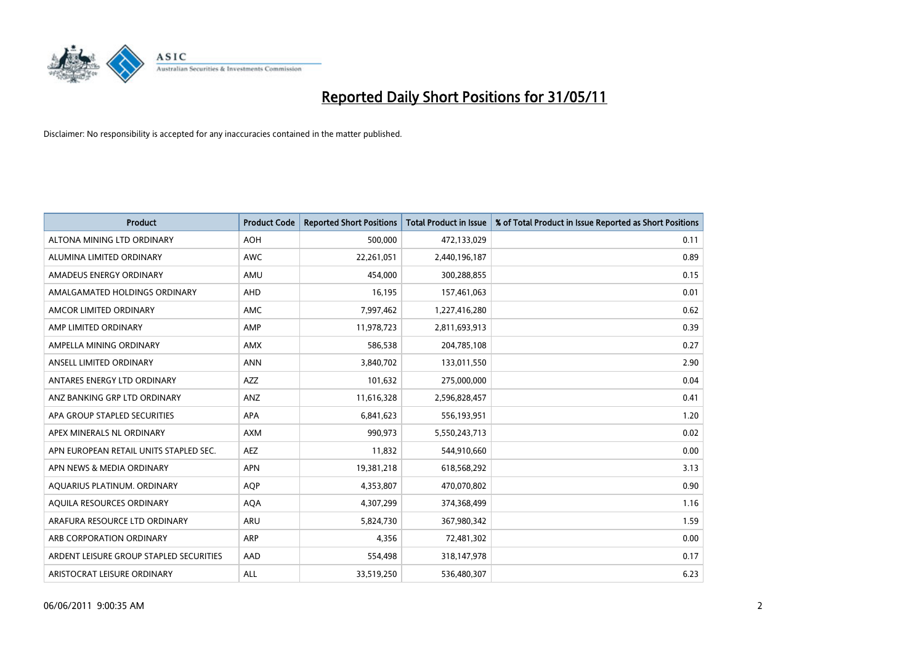

| <b>Product</b>                          | <b>Product Code</b> | <b>Reported Short Positions</b> | Total Product in Issue | % of Total Product in Issue Reported as Short Positions |
|-----------------------------------------|---------------------|---------------------------------|------------------------|---------------------------------------------------------|
| ALTONA MINING LTD ORDINARY              | <b>AOH</b>          | 500,000                         | 472,133,029            | 0.11                                                    |
| ALUMINA LIMITED ORDINARY                | <b>AWC</b>          | 22,261,051                      | 2,440,196,187          | 0.89                                                    |
| AMADEUS ENERGY ORDINARY                 | AMU                 | 454,000                         | 300,288,855            | 0.15                                                    |
| AMALGAMATED HOLDINGS ORDINARY           | AHD                 | 16,195                          | 157,461,063            | 0.01                                                    |
| AMCOR LIMITED ORDINARY                  | <b>AMC</b>          | 7,997,462                       | 1,227,416,280          | 0.62                                                    |
| AMP LIMITED ORDINARY                    | AMP                 | 11,978,723                      | 2,811,693,913          | 0.39                                                    |
| AMPELLA MINING ORDINARY                 | <b>AMX</b>          | 586,538                         | 204,785,108            | 0.27                                                    |
| ANSELL LIMITED ORDINARY                 | <b>ANN</b>          | 3,840,702                       | 133,011,550            | 2.90                                                    |
| ANTARES ENERGY LTD ORDINARY             | <b>AZZ</b>          | 101,632                         | 275,000,000            | 0.04                                                    |
| ANZ BANKING GRP LTD ORDINARY            | ANZ                 | 11,616,328                      | 2,596,828,457          | 0.41                                                    |
| APA GROUP STAPLED SECURITIES            | <b>APA</b>          | 6,841,623                       | 556,193,951            | 1.20                                                    |
| APEX MINERALS NL ORDINARY               | <b>AXM</b>          | 990,973                         | 5,550,243,713          | 0.02                                                    |
| APN EUROPEAN RETAIL UNITS STAPLED SEC.  | <b>AEZ</b>          | 11,832                          | 544,910,660            | 0.00                                                    |
| APN NEWS & MEDIA ORDINARY               | <b>APN</b>          | 19,381,218                      | 618,568,292            | 3.13                                                    |
| AQUARIUS PLATINUM. ORDINARY             | <b>AOP</b>          | 4,353,807                       | 470,070,802            | 0.90                                                    |
| AQUILA RESOURCES ORDINARY               | <b>AQA</b>          | 4,307,299                       | 374,368,499            | 1.16                                                    |
| ARAFURA RESOURCE LTD ORDINARY           | <b>ARU</b>          | 5,824,730                       | 367,980,342            | 1.59                                                    |
| ARB CORPORATION ORDINARY                | <b>ARP</b>          | 4,356                           | 72,481,302             | 0.00                                                    |
| ARDENT LEISURE GROUP STAPLED SECURITIES | AAD                 | 554,498                         | 318,147,978            | 0.17                                                    |
| ARISTOCRAT LEISURE ORDINARY             | ALL                 | 33,519,250                      | 536,480,307            | 6.23                                                    |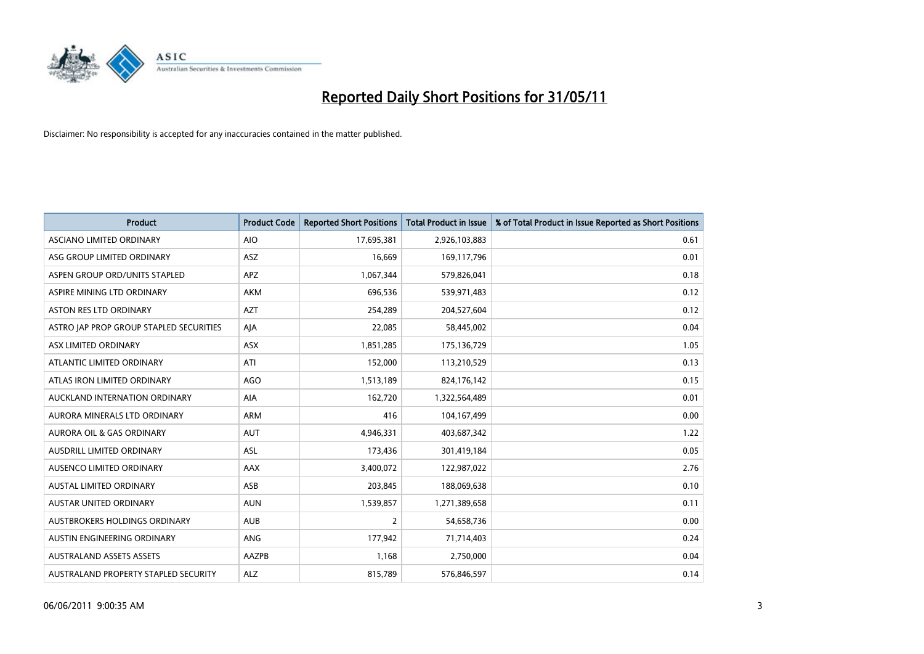

| <b>Product</b>                          | <b>Product Code</b> | <b>Reported Short Positions</b> | <b>Total Product in Issue</b> | % of Total Product in Issue Reported as Short Positions |
|-----------------------------------------|---------------------|---------------------------------|-------------------------------|---------------------------------------------------------|
| ASCIANO LIMITED ORDINARY                | <b>AIO</b>          | 17,695,381                      | 2,926,103,883                 | 0.61                                                    |
| ASG GROUP LIMITED ORDINARY              | <b>ASZ</b>          | 16,669                          | 169,117,796                   | 0.01                                                    |
| ASPEN GROUP ORD/UNITS STAPLED           | <b>APZ</b>          | 1,067,344                       | 579,826,041                   | 0.18                                                    |
| ASPIRE MINING LTD ORDINARY              | <b>AKM</b>          | 696,536                         | 539,971,483                   | 0.12                                                    |
| <b>ASTON RES LTD ORDINARY</b>           | <b>AZT</b>          | 254,289                         | 204,527,604                   | 0.12                                                    |
| ASTRO JAP PROP GROUP STAPLED SECURITIES | AJA                 | 22,085                          | 58,445,002                    | 0.04                                                    |
| ASX LIMITED ORDINARY                    | <b>ASX</b>          | 1,851,285                       | 175,136,729                   | 1.05                                                    |
| ATLANTIC LIMITED ORDINARY               | ATI                 | 152,000                         | 113,210,529                   | 0.13                                                    |
| ATLAS IRON LIMITED ORDINARY             | AGO                 | 1,513,189                       | 824,176,142                   | 0.15                                                    |
| AUCKLAND INTERNATION ORDINARY           | <b>AIA</b>          | 162,720                         | 1,322,564,489                 | 0.01                                                    |
| AURORA MINERALS LTD ORDINARY            | <b>ARM</b>          | 416                             | 104,167,499                   | 0.00                                                    |
| AURORA OIL & GAS ORDINARY               | <b>AUT</b>          | 4,946,331                       | 403,687,342                   | 1.22                                                    |
| <b>AUSDRILL LIMITED ORDINARY</b>        | <b>ASL</b>          | 173,436                         | 301,419,184                   | 0.05                                                    |
| AUSENCO LIMITED ORDINARY                | AAX                 | 3,400,072                       | 122,987,022                   | 2.76                                                    |
| <b>AUSTAL LIMITED ORDINARY</b>          | ASB                 | 203,845                         | 188,069,638                   | 0.10                                                    |
| <b>AUSTAR UNITED ORDINARY</b>           | <b>AUN</b>          | 1,539,857                       | 1,271,389,658                 | 0.11                                                    |
| AUSTBROKERS HOLDINGS ORDINARY           | <b>AUB</b>          | $\overline{2}$                  | 54,658,736                    | 0.00                                                    |
| AUSTIN ENGINEERING ORDINARY             | ANG                 | 177,942                         | 71,714,403                    | 0.24                                                    |
| <b>AUSTRALAND ASSETS ASSETS</b>         | AAZPB               | 1,168                           | 2,750,000                     | 0.04                                                    |
| AUSTRALAND PROPERTY STAPLED SECURITY    | <b>ALZ</b>          | 815,789                         | 576,846,597                   | 0.14                                                    |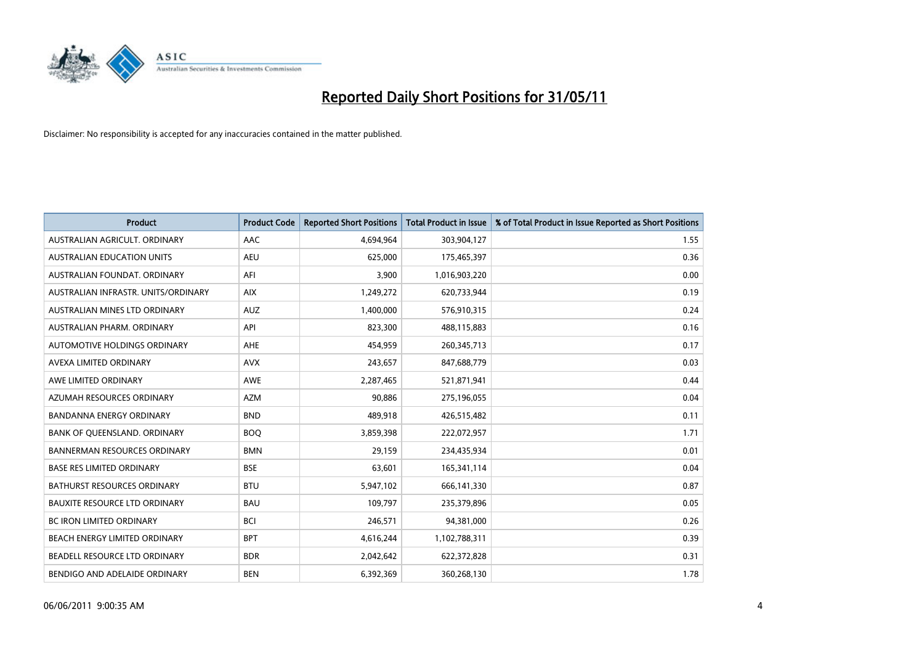

| <b>Product</b>                       | <b>Product Code</b> | <b>Reported Short Positions</b> | <b>Total Product in Issue</b> | % of Total Product in Issue Reported as Short Positions |
|--------------------------------------|---------------------|---------------------------------|-------------------------------|---------------------------------------------------------|
| AUSTRALIAN AGRICULT, ORDINARY        | AAC                 | 4,694,964                       | 303,904,127                   | 1.55                                                    |
| AUSTRALIAN EDUCATION UNITS           | <b>AEU</b>          | 625,000                         | 175,465,397                   | 0.36                                                    |
| AUSTRALIAN FOUNDAT, ORDINARY         | AFI                 | 3,900                           | 1,016,903,220                 | 0.00                                                    |
| AUSTRALIAN INFRASTR, UNITS/ORDINARY  | <b>AIX</b>          | 1,249,272                       | 620,733,944                   | 0.19                                                    |
| AUSTRALIAN MINES LTD ORDINARY        | <b>AUZ</b>          | 1,400,000                       | 576,910,315                   | 0.24                                                    |
| AUSTRALIAN PHARM, ORDINARY           | API                 | 823,300                         | 488,115,883                   | 0.16                                                    |
| AUTOMOTIVE HOLDINGS ORDINARY         | <b>AHE</b>          | 454,959                         | 260,345,713                   | 0.17                                                    |
| AVEXA LIMITED ORDINARY               | <b>AVX</b>          | 243,657                         | 847,688,779                   | 0.03                                                    |
| AWE LIMITED ORDINARY                 | <b>AWE</b>          | 2,287,465                       | 521,871,941                   | 0.44                                                    |
| AZUMAH RESOURCES ORDINARY            | <b>AZM</b>          | 90,886                          | 275,196,055                   | 0.04                                                    |
| BANDANNA ENERGY ORDINARY             | <b>BND</b>          | 489,918                         | 426,515,482                   | 0.11                                                    |
| BANK OF QUEENSLAND. ORDINARY         | <b>BOO</b>          | 3,859,398                       | 222,072,957                   | 1.71                                                    |
| <b>BANNERMAN RESOURCES ORDINARY</b>  | <b>BMN</b>          | 29,159                          | 234,435,934                   | 0.01                                                    |
| <b>BASE RES LIMITED ORDINARY</b>     | <b>BSE</b>          | 63,601                          | 165,341,114                   | 0.04                                                    |
| <b>BATHURST RESOURCES ORDINARY</b>   | <b>BTU</b>          | 5,947,102                       | 666,141,330                   | 0.87                                                    |
| <b>BAUXITE RESOURCE LTD ORDINARY</b> | <b>BAU</b>          | 109,797                         | 235,379,896                   | 0.05                                                    |
| BC IRON LIMITED ORDINARY             | <b>BCI</b>          | 246,571                         | 94,381,000                    | 0.26                                                    |
| BEACH ENERGY LIMITED ORDINARY        | <b>BPT</b>          | 4,616,244                       | 1,102,788,311                 | 0.39                                                    |
| BEADELL RESOURCE LTD ORDINARY        | <b>BDR</b>          | 2,042,642                       | 622,372,828                   | 0.31                                                    |
| BENDIGO AND ADELAIDE ORDINARY        | <b>BEN</b>          | 6,392,369                       | 360,268,130                   | 1.78                                                    |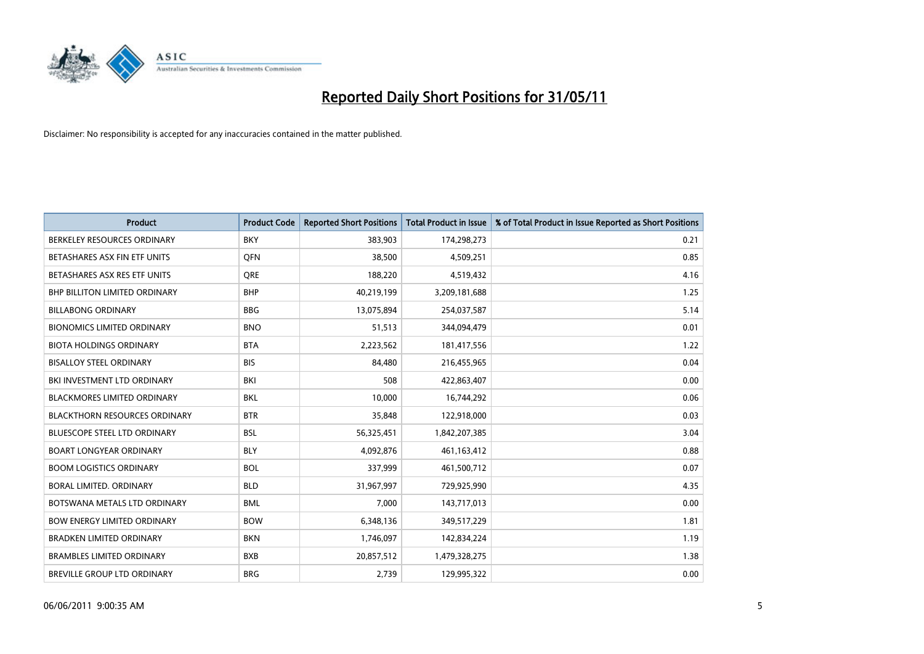

| <b>Product</b>                       | <b>Product Code</b> | <b>Reported Short Positions</b> | <b>Total Product in Issue</b> | % of Total Product in Issue Reported as Short Positions |
|--------------------------------------|---------------------|---------------------------------|-------------------------------|---------------------------------------------------------|
| BERKELEY RESOURCES ORDINARY          | <b>BKY</b>          | 383,903                         | 174,298,273                   | 0.21                                                    |
| BETASHARES ASX FIN ETF UNITS         | <b>OFN</b>          | 38,500                          | 4,509,251                     | 0.85                                                    |
| BETASHARES ASX RES ETF UNITS         | <b>ORE</b>          | 188,220                         | 4,519,432                     | 4.16                                                    |
| <b>BHP BILLITON LIMITED ORDINARY</b> | <b>BHP</b>          | 40,219,199                      | 3,209,181,688                 | 1.25                                                    |
| <b>BILLABONG ORDINARY</b>            | <b>BBG</b>          | 13,075,894                      | 254,037,587                   | 5.14                                                    |
| <b>BIONOMICS LIMITED ORDINARY</b>    | <b>BNO</b>          | 51,513                          | 344,094,479                   | 0.01                                                    |
| <b>BIOTA HOLDINGS ORDINARY</b>       | <b>BTA</b>          | 2,223,562                       | 181,417,556                   | 1.22                                                    |
| <b>BISALLOY STEEL ORDINARY</b>       | <b>BIS</b>          | 84,480                          | 216,455,965                   | 0.04                                                    |
| BKI INVESTMENT LTD ORDINARY          | BKI                 | 508                             | 422,863,407                   | 0.00                                                    |
| <b>BLACKMORES LIMITED ORDINARY</b>   | <b>BKL</b>          | 10,000                          | 16,744,292                    | 0.06                                                    |
| <b>BLACKTHORN RESOURCES ORDINARY</b> | <b>BTR</b>          | 35,848                          | 122,918,000                   | 0.03                                                    |
| <b>BLUESCOPE STEEL LTD ORDINARY</b>  | <b>BSL</b>          | 56,325,451                      | 1,842,207,385                 | 3.04                                                    |
| <b>BOART LONGYEAR ORDINARY</b>       | <b>BLY</b>          | 4,092,876                       | 461,163,412                   | 0.88                                                    |
| <b>BOOM LOGISTICS ORDINARY</b>       | <b>BOL</b>          | 337,999                         | 461,500,712                   | 0.07                                                    |
| <b>BORAL LIMITED, ORDINARY</b>       | <b>BLD</b>          | 31,967,997                      | 729,925,990                   | 4.35                                                    |
| BOTSWANA METALS LTD ORDINARY         | <b>BML</b>          | 7,000                           | 143,717,013                   | 0.00                                                    |
| <b>BOW ENERGY LIMITED ORDINARY</b>   | <b>BOW</b>          | 6,348,136                       | 349,517,229                   | 1.81                                                    |
| <b>BRADKEN LIMITED ORDINARY</b>      | <b>BKN</b>          | 1,746,097                       | 142,834,224                   | 1.19                                                    |
| <b>BRAMBLES LIMITED ORDINARY</b>     | <b>BXB</b>          | 20,857,512                      | 1,479,328,275                 | 1.38                                                    |
| <b>BREVILLE GROUP LTD ORDINARY</b>   | <b>BRG</b>          | 2.739                           | 129,995,322                   | 0.00                                                    |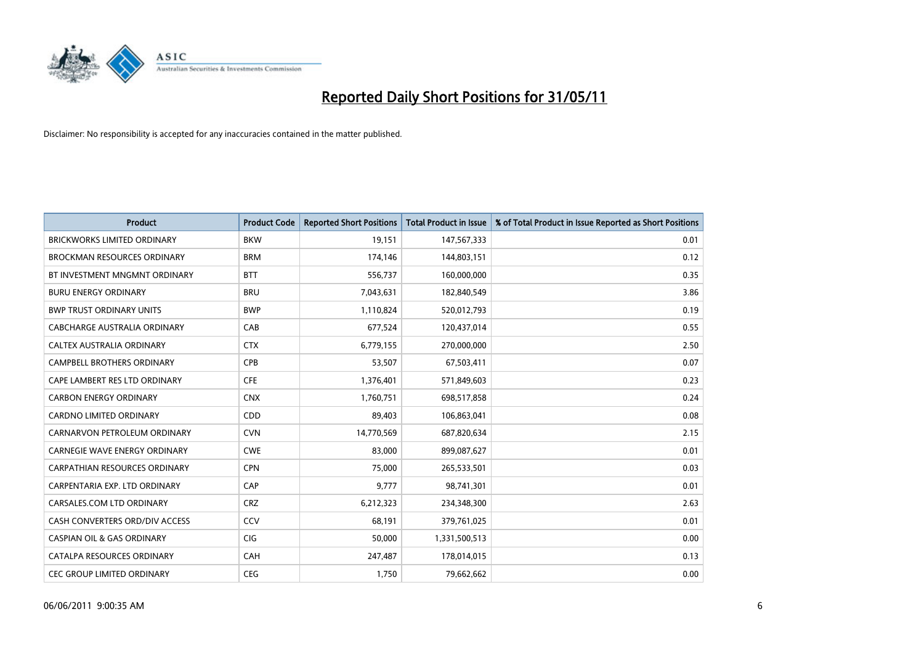

| <b>Product</b>                        | <b>Product Code</b> | <b>Reported Short Positions</b> | Total Product in Issue | % of Total Product in Issue Reported as Short Positions |
|---------------------------------------|---------------------|---------------------------------|------------------------|---------------------------------------------------------|
| <b>BRICKWORKS LIMITED ORDINARY</b>    | <b>BKW</b>          | 19,151                          | 147,567,333            | 0.01                                                    |
| BROCKMAN RESOURCES ORDINARY           | <b>BRM</b>          | 174,146                         | 144,803,151            | 0.12                                                    |
| BT INVESTMENT MNGMNT ORDINARY         | <b>BTT</b>          | 556,737                         | 160,000,000            | 0.35                                                    |
| <b>BURU ENERGY ORDINARY</b>           | <b>BRU</b>          | 7,043,631                       | 182,840,549            | 3.86                                                    |
| <b>BWP TRUST ORDINARY UNITS</b>       | <b>BWP</b>          | 1,110,824                       | 520,012,793            | 0.19                                                    |
| CABCHARGE AUSTRALIA ORDINARY          | CAB                 | 677,524                         | 120,437,014            | 0.55                                                    |
| CALTEX AUSTRALIA ORDINARY             | <b>CTX</b>          | 6,779,155                       | 270,000,000            | 2.50                                                    |
| CAMPBELL BROTHERS ORDINARY            | <b>CPB</b>          | 53,507                          | 67,503,411             | 0.07                                                    |
| CAPE LAMBERT RES LTD ORDINARY         | <b>CFE</b>          | 1,376,401                       | 571,849,603            | 0.23                                                    |
| <b>CARBON ENERGY ORDINARY</b>         | <b>CNX</b>          | 1,760,751                       | 698,517,858            | 0.24                                                    |
| CARDNO LIMITED ORDINARY               | CDD                 | 89,403                          | 106,863,041            | 0.08                                                    |
| CARNARVON PETROLEUM ORDINARY          | <b>CVN</b>          | 14,770,569                      | 687,820,634            | 2.15                                                    |
| CARNEGIE WAVE ENERGY ORDINARY         | <b>CWE</b>          | 83,000                          | 899,087,627            | 0.01                                                    |
| <b>CARPATHIAN RESOURCES ORDINARY</b>  | <b>CPN</b>          | 75,000                          | 265,533,501            | 0.03                                                    |
| CARPENTARIA EXP. LTD ORDINARY         | CAP                 | 9,777                           | 98,741,301             | 0.01                                                    |
| CARSALES.COM LTD ORDINARY             | <b>CRZ</b>          | 6,212,323                       | 234,348,300            | 2.63                                                    |
| CASH CONVERTERS ORD/DIV ACCESS        | CCV                 | 68,191                          | 379,761,025            | 0.01                                                    |
| <b>CASPIAN OIL &amp; GAS ORDINARY</b> | <b>CIG</b>          | 50,000                          | 1,331,500,513          | 0.00                                                    |
| CATALPA RESOURCES ORDINARY            | CAH                 | 247,487                         | 178,014,015            | 0.13                                                    |
| CEC GROUP LIMITED ORDINARY            | <b>CEG</b>          | 1,750                           | 79,662,662             | 0.00                                                    |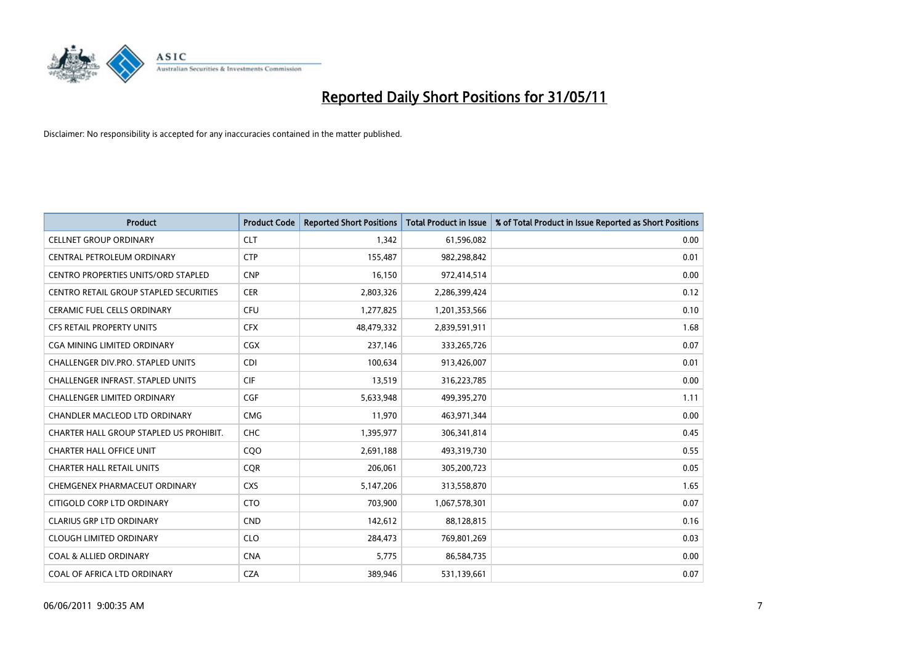

| <b>Product</b>                                | <b>Product Code</b> | <b>Reported Short Positions</b> | <b>Total Product in Issue</b> | % of Total Product in Issue Reported as Short Positions |
|-----------------------------------------------|---------------------|---------------------------------|-------------------------------|---------------------------------------------------------|
| <b>CELLNET GROUP ORDINARY</b>                 | <b>CLT</b>          | 1,342                           | 61,596,082                    | 0.00                                                    |
| CENTRAL PETROLEUM ORDINARY                    | <b>CTP</b>          | 155,487                         | 982,298,842                   | 0.01                                                    |
| CENTRO PROPERTIES UNITS/ORD STAPLED           | <b>CNP</b>          | 16,150                          | 972,414,514                   | 0.00                                                    |
| <b>CENTRO RETAIL GROUP STAPLED SECURITIES</b> | <b>CER</b>          | 2,803,326                       | 2,286,399,424                 | 0.12                                                    |
| <b>CERAMIC FUEL CELLS ORDINARY</b>            | CFU                 | 1,277,825                       | 1,201,353,566                 | 0.10                                                    |
| <b>CFS RETAIL PROPERTY UNITS</b>              | <b>CFX</b>          | 48,479,332                      | 2,839,591,911                 | 1.68                                                    |
| <b>CGA MINING LIMITED ORDINARY</b>            | CGX                 | 237,146                         | 333,265,726                   | 0.07                                                    |
| CHALLENGER DIV.PRO. STAPLED UNITS             | <b>CDI</b>          | 100,634                         | 913,426,007                   | 0.01                                                    |
| <b>CHALLENGER INFRAST, STAPLED UNITS</b>      | <b>CIF</b>          | 13,519                          | 316,223,785                   | 0.00                                                    |
| <b>CHALLENGER LIMITED ORDINARY</b>            | CGF                 | 5,633,948                       | 499,395,270                   | 1.11                                                    |
| CHANDLER MACLEOD LTD ORDINARY                 | <b>CMG</b>          | 11,970                          | 463,971,344                   | 0.00                                                    |
| CHARTER HALL GROUP STAPLED US PROHIBIT.       | <b>CHC</b>          | 1,395,977                       | 306,341,814                   | 0.45                                                    |
| <b>CHARTER HALL OFFICE UNIT</b>               | COO                 | 2,691,188                       | 493,319,730                   | 0.55                                                    |
| <b>CHARTER HALL RETAIL UNITS</b>              | <b>COR</b>          | 206,061                         | 305,200,723                   | 0.05                                                    |
| CHEMGENEX PHARMACEUT ORDINARY                 | <b>CXS</b>          | 5,147,206                       | 313,558,870                   | 1.65                                                    |
| CITIGOLD CORP LTD ORDINARY                    | <b>CTO</b>          | 703,900                         | 1,067,578,301                 | 0.07                                                    |
| <b>CLARIUS GRP LTD ORDINARY</b>               | <b>CND</b>          | 142,612                         | 88,128,815                    | 0.16                                                    |
| <b>CLOUGH LIMITED ORDINARY</b>                | <b>CLO</b>          | 284,473                         | 769,801,269                   | 0.03                                                    |
| <b>COAL &amp; ALLIED ORDINARY</b>             | <b>CNA</b>          | 5,775                           | 86,584,735                    | 0.00                                                    |
| COAL OF AFRICA LTD ORDINARY                   | <b>CZA</b>          | 389,946                         | 531,139,661                   | 0.07                                                    |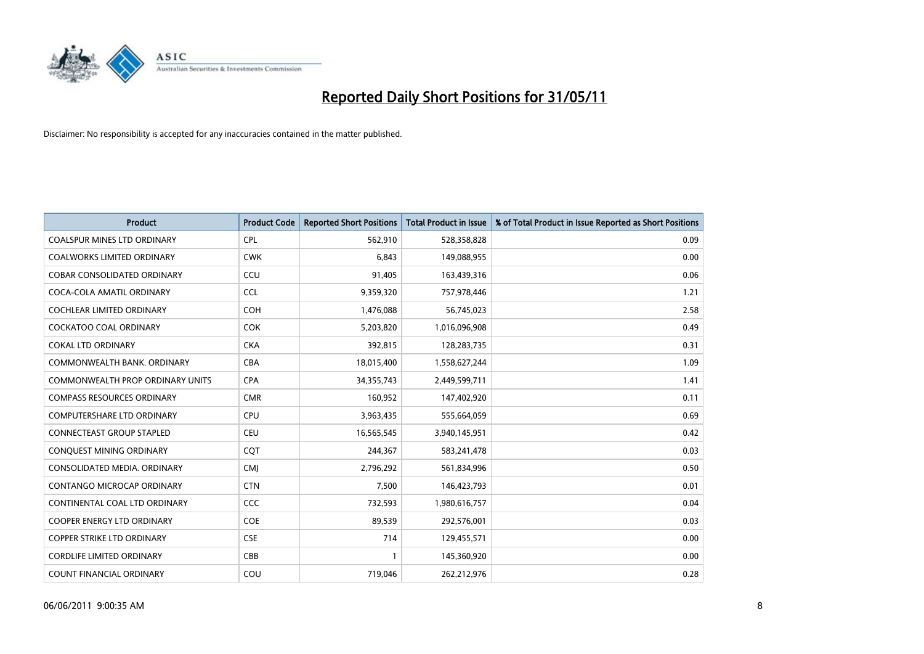

| <b>Product</b>                          | <b>Product Code</b> | <b>Reported Short Positions</b> | <b>Total Product in Issue</b> | % of Total Product in Issue Reported as Short Positions |
|-----------------------------------------|---------------------|---------------------------------|-------------------------------|---------------------------------------------------------|
| <b>COALSPUR MINES LTD ORDINARY</b>      | <b>CPL</b>          | 562,910                         | 528,358,828                   | 0.09                                                    |
| <b>COALWORKS LIMITED ORDINARY</b>       | <b>CWK</b>          | 6,843                           | 149,088,955                   | 0.00                                                    |
| <b>COBAR CONSOLIDATED ORDINARY</b>      | CCU                 | 91.405                          | 163,439,316                   | 0.06                                                    |
| COCA-COLA AMATIL ORDINARY               | <b>CCL</b>          | 9,359,320                       | 757,978,446                   | 1.21                                                    |
| <b>COCHLEAR LIMITED ORDINARY</b>        | <b>COH</b>          | 1,476,088                       | 56,745,023                    | 2.58                                                    |
| <b>COCKATOO COAL ORDINARY</b>           | <b>COK</b>          | 5,203,820                       | 1,016,096,908                 | 0.49                                                    |
| <b>COKAL LTD ORDINARY</b>               | <b>CKA</b>          | 392,815                         | 128,283,735                   | 0.31                                                    |
| COMMONWEALTH BANK, ORDINARY             | <b>CBA</b>          | 18,015,400                      | 1,558,627,244                 | 1.09                                                    |
| <b>COMMONWEALTH PROP ORDINARY UNITS</b> | <b>CPA</b>          | 34, 355, 743                    | 2,449,599,711                 | 1.41                                                    |
| <b>COMPASS RESOURCES ORDINARY</b>       | <b>CMR</b>          | 160,952                         | 147,402,920                   | 0.11                                                    |
| COMPUTERSHARE LTD ORDINARY              | <b>CPU</b>          | 3,963,435                       | 555,664,059                   | 0.69                                                    |
| <b>CONNECTEAST GROUP STAPLED</b>        | <b>CEU</b>          | 16,565,545                      | 3,940,145,951                 | 0.42                                                    |
| CONQUEST MINING ORDINARY                | COT                 | 244,367                         | 583,241,478                   | 0.03                                                    |
| CONSOLIDATED MEDIA, ORDINARY            | <b>CMI</b>          | 2,796,292                       | 561,834,996                   | 0.50                                                    |
| <b>CONTANGO MICROCAP ORDINARY</b>       | <b>CTN</b>          | 7,500                           | 146,423,793                   | 0.01                                                    |
| CONTINENTAL COAL LTD ORDINARY           | <b>CCC</b>          | 732,593                         | 1,980,616,757                 | 0.04                                                    |
| COOPER ENERGY LTD ORDINARY              | <b>COE</b>          | 89,539                          | 292,576,001                   | 0.03                                                    |
| <b>COPPER STRIKE LTD ORDINARY</b>       | <b>CSE</b>          | 714                             | 129,455,571                   | 0.00                                                    |
| <b>CORDLIFE LIMITED ORDINARY</b>        | CBB                 |                                 | 145,360,920                   | 0.00                                                    |
| COUNT FINANCIAL ORDINARY                | COU                 | 719,046                         | 262,212,976                   | 0.28                                                    |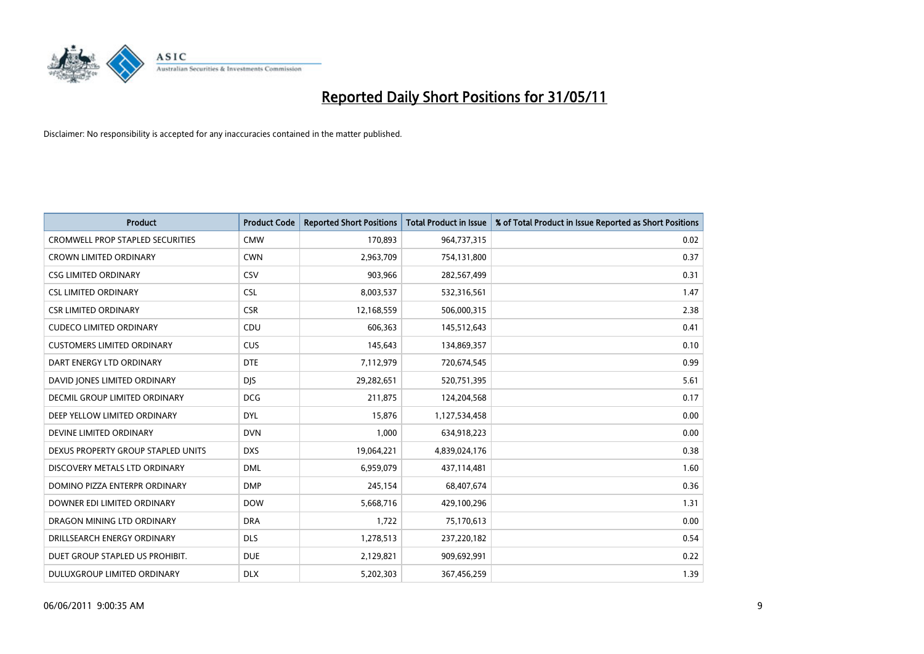

| <b>Product</b>                          | <b>Product Code</b> | <b>Reported Short Positions</b> | <b>Total Product in Issue</b> | % of Total Product in Issue Reported as Short Positions |
|-----------------------------------------|---------------------|---------------------------------|-------------------------------|---------------------------------------------------------|
| <b>CROMWELL PROP STAPLED SECURITIES</b> | <b>CMW</b>          | 170,893                         | 964,737,315                   | 0.02                                                    |
| CROWN LIMITED ORDINARY                  | <b>CWN</b>          | 2,963,709                       | 754,131,800                   | 0.37                                                    |
| <b>CSG LIMITED ORDINARY</b>             | CSV                 | 903,966                         | 282,567,499                   | 0.31                                                    |
| <b>CSL LIMITED ORDINARY</b>             | <b>CSL</b>          | 8,003,537                       | 532,316,561                   | 1.47                                                    |
| <b>CSR LIMITED ORDINARY</b>             | <b>CSR</b>          | 12,168,559                      | 506,000,315                   | 2.38                                                    |
| <b>CUDECO LIMITED ORDINARY</b>          | CDU                 | 606,363                         | 145,512,643                   | 0.41                                                    |
| <b>CUSTOMERS LIMITED ORDINARY</b>       | <b>CUS</b>          | 145,643                         | 134,869,357                   | 0.10                                                    |
| DART ENERGY LTD ORDINARY                | <b>DTE</b>          | 7,112,979                       | 720,674,545                   | 0.99                                                    |
| DAVID JONES LIMITED ORDINARY            | <b>DIS</b>          | 29,282,651                      | 520,751,395                   | 5.61                                                    |
| DECMIL GROUP LIMITED ORDINARY           | <b>DCG</b>          | 211,875                         | 124,204,568                   | 0.17                                                    |
| DEEP YELLOW LIMITED ORDINARY            | <b>DYL</b>          | 15,876                          | 1,127,534,458                 | 0.00                                                    |
| DEVINE LIMITED ORDINARY                 | <b>DVN</b>          | 1,000                           | 634,918,223                   | 0.00                                                    |
| DEXUS PROPERTY GROUP STAPLED UNITS      | <b>DXS</b>          | 19,064,221                      | 4,839,024,176                 | 0.38                                                    |
| DISCOVERY METALS LTD ORDINARY           | <b>DML</b>          | 6,959,079                       | 437,114,481                   | 1.60                                                    |
| DOMINO PIZZA ENTERPR ORDINARY           | <b>DMP</b>          | 245,154                         | 68,407,674                    | 0.36                                                    |
| DOWNER EDI LIMITED ORDINARY             | <b>DOW</b>          | 5,668,716                       | 429,100,296                   | 1.31                                                    |
| DRAGON MINING LTD ORDINARY              | <b>DRA</b>          | 1,722                           | 75,170,613                    | 0.00                                                    |
| DRILLSEARCH ENERGY ORDINARY             | <b>DLS</b>          | 1,278,513                       | 237,220,182                   | 0.54                                                    |
| DUET GROUP STAPLED US PROHIBIT.         | <b>DUE</b>          | 2,129,821                       | 909,692,991                   | 0.22                                                    |
| DULUXGROUP LIMITED ORDINARY             | <b>DLX</b>          | 5,202,303                       | 367,456,259                   | 1.39                                                    |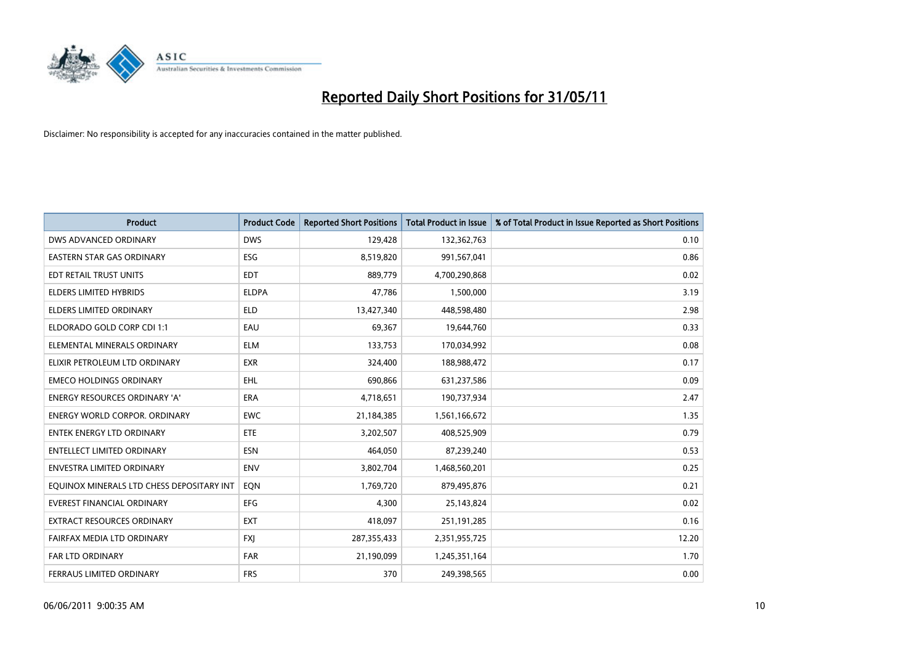

| <b>Product</b>                            | <b>Product Code</b> | <b>Reported Short Positions</b> | <b>Total Product in Issue</b> | % of Total Product in Issue Reported as Short Positions |
|-------------------------------------------|---------------------|---------------------------------|-------------------------------|---------------------------------------------------------|
| DWS ADVANCED ORDINARY                     | <b>DWS</b>          | 129,428                         | 132,362,763                   | 0.10                                                    |
| EASTERN STAR GAS ORDINARY                 | ESG                 | 8,519,820                       | 991,567,041                   | 0.86                                                    |
| EDT RETAIL TRUST UNITS                    | <b>EDT</b>          | 889.779                         | 4,700,290,868                 | 0.02                                                    |
| <b>ELDERS LIMITED HYBRIDS</b>             | <b>ELDPA</b>        | 47,786                          | 1,500,000                     | 3.19                                                    |
| <b>ELDERS LIMITED ORDINARY</b>            | <b>ELD</b>          | 13,427,340                      | 448,598,480                   | 2.98                                                    |
| ELDORADO GOLD CORP CDI 1:1                | EAU                 | 69,367                          | 19,644,760                    | 0.33                                                    |
| ELEMENTAL MINERALS ORDINARY               | <b>ELM</b>          | 133,753                         | 170,034,992                   | 0.08                                                    |
| ELIXIR PETROLEUM LTD ORDINARY             | <b>EXR</b>          | 324,400                         | 188,988,472                   | 0.17                                                    |
| <b>EMECO HOLDINGS ORDINARY</b>            | <b>EHL</b>          | 690,866                         | 631,237,586                   | 0.09                                                    |
| <b>ENERGY RESOURCES ORDINARY 'A'</b>      | <b>ERA</b>          | 4,718,651                       | 190,737,934                   | 2.47                                                    |
| <b>ENERGY WORLD CORPOR. ORDINARY</b>      | <b>EWC</b>          | 21,184,385                      | 1,561,166,672                 | 1.35                                                    |
| <b>ENTEK ENERGY LTD ORDINARY</b>          | <b>ETE</b>          | 3,202,507                       | 408,525,909                   | 0.79                                                    |
| <b>ENTELLECT LIMITED ORDINARY</b>         | <b>ESN</b>          | 464,050                         | 87,239,240                    | 0.53                                                    |
| <b>ENVESTRA LIMITED ORDINARY</b>          | <b>ENV</b>          | 3,802,704                       | 1,468,560,201                 | 0.25                                                    |
| EQUINOX MINERALS LTD CHESS DEPOSITARY INT | EQN                 | 1,769,720                       | 879,495,876                   | 0.21                                                    |
| <b>EVEREST FINANCIAL ORDINARY</b>         | <b>EFG</b>          | 4,300                           | 25,143,824                    | 0.02                                                    |
| EXTRACT RESOURCES ORDINARY                | <b>EXT</b>          | 418,097                         | 251,191,285                   | 0.16                                                    |
| FAIRFAX MEDIA LTD ORDINARY                | <b>FXJ</b>          | 287,355,433                     | 2,351,955,725                 | 12.20                                                   |
| FAR LTD ORDINARY                          | <b>FAR</b>          | 21,190,099                      | 1,245,351,164                 | 1.70                                                    |
| FERRAUS LIMITED ORDINARY                  | <b>FRS</b>          | 370                             | 249,398,565                   | 0.00                                                    |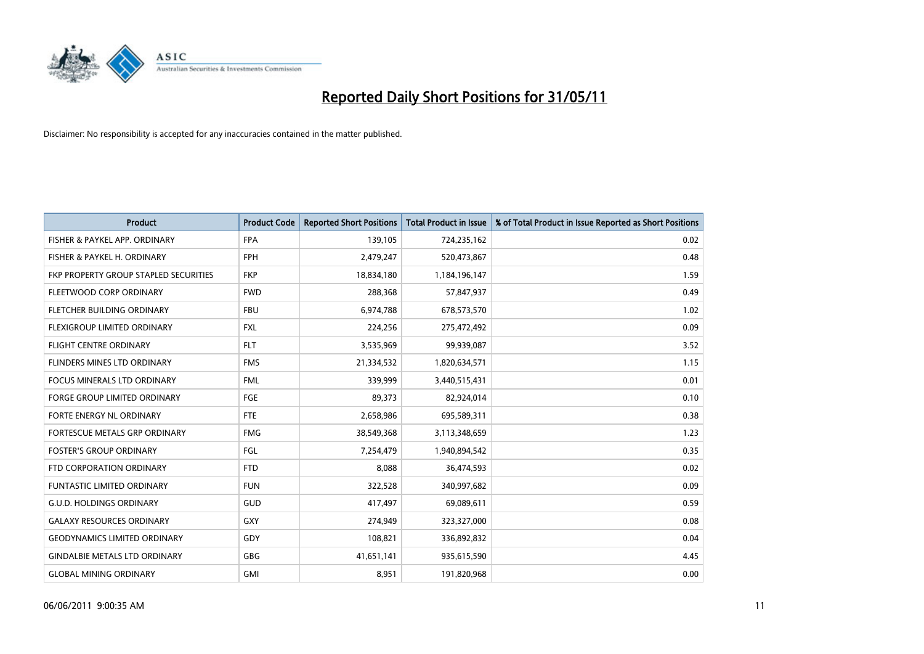

| <b>Product</b>                        | <b>Product Code</b> | <b>Reported Short Positions</b> | <b>Total Product in Issue</b> | % of Total Product in Issue Reported as Short Positions |
|---------------------------------------|---------------------|---------------------------------|-------------------------------|---------------------------------------------------------|
| FISHER & PAYKEL APP. ORDINARY         | <b>FPA</b>          | 139,105                         | 724,235,162                   | 0.02                                                    |
| FISHER & PAYKEL H. ORDINARY           | <b>FPH</b>          | 2,479,247                       | 520,473,867                   | 0.48                                                    |
| FKP PROPERTY GROUP STAPLED SECURITIES | <b>FKP</b>          | 18,834,180                      | 1,184,196,147                 | 1.59                                                    |
| FLEETWOOD CORP ORDINARY               | <b>FWD</b>          | 288,368                         | 57,847,937                    | 0.49                                                    |
| FLETCHER BUILDING ORDINARY            | <b>FBU</b>          | 6,974,788                       | 678,573,570                   | 1.02                                                    |
| FLEXIGROUP LIMITED ORDINARY           | <b>FXL</b>          | 224,256                         | 275,472,492                   | 0.09                                                    |
| <b>FLIGHT CENTRE ORDINARY</b>         | <b>FLT</b>          | 3,535,969                       | 99,939,087                    | 3.52                                                    |
| FLINDERS MINES LTD ORDINARY           | <b>FMS</b>          | 21,334,532                      | 1,820,634,571                 | 1.15                                                    |
| <b>FOCUS MINERALS LTD ORDINARY</b>    | <b>FML</b>          | 339.999                         | 3,440,515,431                 | 0.01                                                    |
| <b>FORGE GROUP LIMITED ORDINARY</b>   | <b>FGE</b>          | 89,373                          | 82,924,014                    | 0.10                                                    |
| FORTE ENERGY NL ORDINARY              | <b>FTE</b>          | 2,658,986                       | 695,589,311                   | 0.38                                                    |
| <b>FORTESCUE METALS GRP ORDINARY</b>  | <b>FMG</b>          | 38,549,368                      | 3,113,348,659                 | 1.23                                                    |
| <b>FOSTER'S GROUP ORDINARY</b>        | FGL                 | 7,254,479                       | 1,940,894,542                 | 0.35                                                    |
| FTD CORPORATION ORDINARY              | <b>FTD</b>          | 8,088                           | 36,474,593                    | 0.02                                                    |
| <b>FUNTASTIC LIMITED ORDINARY</b>     | <b>FUN</b>          | 322,528                         | 340,997,682                   | 0.09                                                    |
| <b>G.U.D. HOLDINGS ORDINARY</b>       | GUD                 | 417,497                         | 69,089,611                    | 0.59                                                    |
| <b>GALAXY RESOURCES ORDINARY</b>      | <b>GXY</b>          | 274,949                         | 323,327,000                   | 0.08                                                    |
| <b>GEODYNAMICS LIMITED ORDINARY</b>   | GDY                 | 108,821                         | 336,892,832                   | 0.04                                                    |
| <b>GINDALBIE METALS LTD ORDINARY</b>  | <b>GBG</b>          | 41,651,141                      | 935,615,590                   | 4.45                                                    |
| <b>GLOBAL MINING ORDINARY</b>         | <b>GMI</b>          | 8,951                           | 191,820,968                   | 0.00                                                    |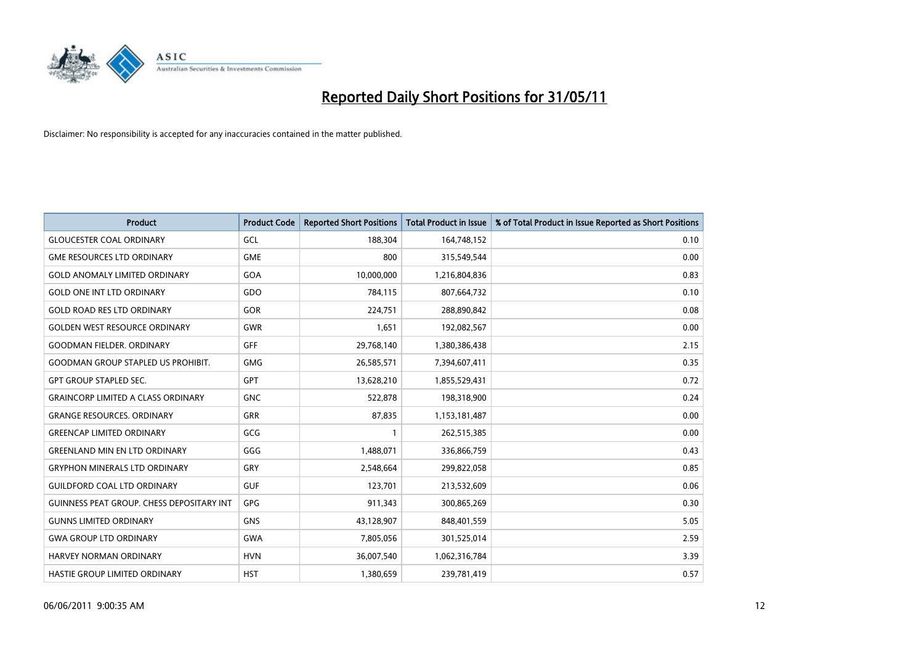

| <b>Product</b>                            | <b>Product Code</b> | <b>Reported Short Positions</b> | <b>Total Product in Issue</b> | % of Total Product in Issue Reported as Short Positions |
|-------------------------------------------|---------------------|---------------------------------|-------------------------------|---------------------------------------------------------|
| <b>GLOUCESTER COAL ORDINARY</b>           | GCL                 | 188,304                         | 164,748,152                   | 0.10                                                    |
| <b>GME RESOURCES LTD ORDINARY</b>         | <b>GME</b>          | 800                             | 315,549,544                   | 0.00                                                    |
| <b>GOLD ANOMALY LIMITED ORDINARY</b>      | GOA                 | 10,000,000                      | 1,216,804,836                 | 0.83                                                    |
| <b>GOLD ONE INT LTD ORDINARY</b>          | GDO                 | 784,115                         | 807,664,732                   | 0.10                                                    |
| <b>GOLD ROAD RES LTD ORDINARY</b>         | <b>GOR</b>          | 224,751                         | 288,890,842                   | 0.08                                                    |
| <b>GOLDEN WEST RESOURCE ORDINARY</b>      | <b>GWR</b>          | 1,651                           | 192,082,567                   | 0.00                                                    |
| <b>GOODMAN FIELDER, ORDINARY</b>          | <b>GFF</b>          | 29,768,140                      | 1,380,386,438                 | 2.15                                                    |
| <b>GOODMAN GROUP STAPLED US PROHIBIT.</b> | <b>GMG</b>          | 26,585,571                      | 7,394,607,411                 | 0.35                                                    |
| <b>GPT GROUP STAPLED SEC.</b>             | GPT                 | 13,628,210                      | 1,855,529,431                 | 0.72                                                    |
| <b>GRAINCORP LIMITED A CLASS ORDINARY</b> | <b>GNC</b>          | 522,878                         | 198,318,900                   | 0.24                                                    |
| <b>GRANGE RESOURCES, ORDINARY</b>         | <b>GRR</b>          | 87,835                          | 1,153,181,487                 | 0.00                                                    |
| <b>GREENCAP LIMITED ORDINARY</b>          | GCG                 |                                 | 262,515,385                   | 0.00                                                    |
| <b>GREENLAND MIN EN LTD ORDINARY</b>      | GGG                 | 1,488,071                       | 336,866,759                   | 0.43                                                    |
| <b>GRYPHON MINERALS LTD ORDINARY</b>      | GRY                 | 2,548,664                       | 299,822,058                   | 0.85                                                    |
| <b>GUILDFORD COAL LTD ORDINARY</b>        | <b>GUF</b>          | 123,701                         | 213,532,609                   | 0.06                                                    |
| GUINNESS PEAT GROUP. CHESS DEPOSITARY INT | GPG                 | 911,343                         | 300,865,269                   | 0.30                                                    |
| <b>GUNNS LIMITED ORDINARY</b>             | <b>GNS</b>          | 43,128,907                      | 848,401,559                   | 5.05                                                    |
| <b>GWA GROUP LTD ORDINARY</b>             | <b>GWA</b>          | 7,805,056                       | 301,525,014                   | 2.59                                                    |
| <b>HARVEY NORMAN ORDINARY</b>             | <b>HVN</b>          | 36,007,540                      | 1,062,316,784                 | 3.39                                                    |
| <b>HASTIE GROUP LIMITED ORDINARY</b>      | <b>HST</b>          | 1,380,659                       | 239,781,419                   | 0.57                                                    |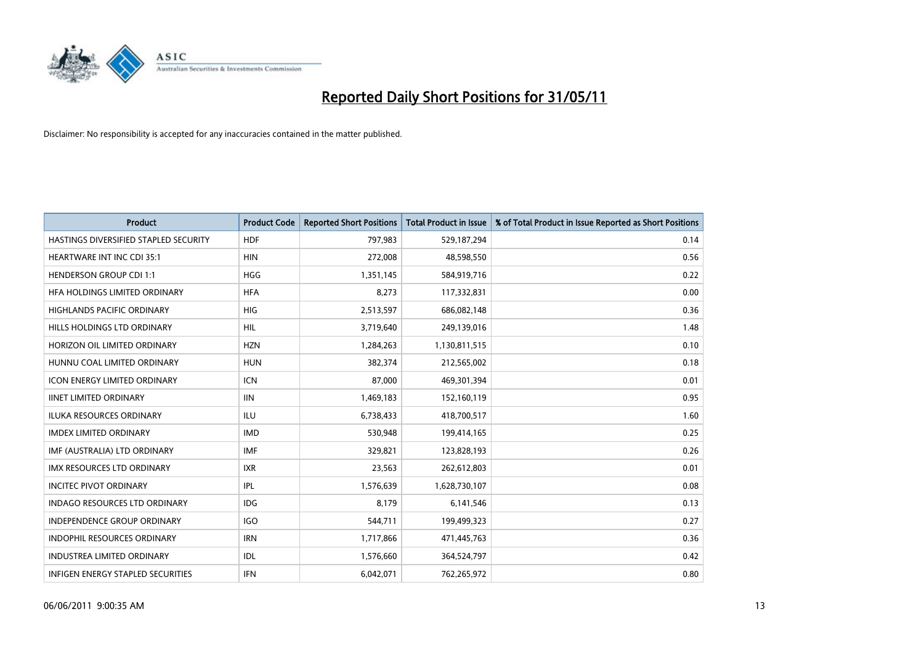

| <b>Product</b>                           | <b>Product Code</b> | <b>Reported Short Positions</b> | Total Product in Issue | % of Total Product in Issue Reported as Short Positions |
|------------------------------------------|---------------------|---------------------------------|------------------------|---------------------------------------------------------|
| HASTINGS DIVERSIFIED STAPLED SECURITY    | <b>HDF</b>          | 797,983                         | 529,187,294            | 0.14                                                    |
| <b>HEARTWARE INT INC CDI 35:1</b>        | <b>HIN</b>          | 272,008                         | 48,598,550             | 0.56                                                    |
| <b>HENDERSON GROUP CDI 1:1</b>           | <b>HGG</b>          | 1,351,145                       | 584,919,716            | 0.22                                                    |
| HFA HOLDINGS LIMITED ORDINARY            | <b>HFA</b>          | 8,273                           | 117,332,831            | 0.00                                                    |
| <b>HIGHLANDS PACIFIC ORDINARY</b>        | <b>HIG</b>          | 2,513,597                       | 686,082,148            | 0.36                                                    |
| HILLS HOLDINGS LTD ORDINARY              | <b>HIL</b>          | 3,719,640                       | 249,139,016            | 1.48                                                    |
| HORIZON OIL LIMITED ORDINARY             | <b>HZN</b>          | 1,284,263                       | 1,130,811,515          | 0.10                                                    |
| HUNNU COAL LIMITED ORDINARY              | <b>HUN</b>          | 382,374                         | 212,565,002            | 0.18                                                    |
| ICON ENERGY LIMITED ORDINARY             | <b>ICN</b>          | 87,000                          | 469,301,394            | 0.01                                                    |
| <b>IINET LIMITED ORDINARY</b>            | <b>IIN</b>          | 1,469,183                       | 152,160,119            | 0.95                                                    |
| ILUKA RESOURCES ORDINARY                 | <b>ILU</b>          | 6,738,433                       | 418,700,517            | 1.60                                                    |
| <b>IMDEX LIMITED ORDINARY</b>            | <b>IMD</b>          | 530,948                         | 199,414,165            | 0.25                                                    |
| IMF (AUSTRALIA) LTD ORDINARY             | <b>IMF</b>          | 329,821                         | 123,828,193            | 0.26                                                    |
| <b>IMX RESOURCES LTD ORDINARY</b>        | <b>IXR</b>          | 23,563                          | 262,612,803            | 0.01                                                    |
| <b>INCITEC PIVOT ORDINARY</b>            | IPL                 | 1,576,639                       | 1,628,730,107          | 0.08                                                    |
| <b>INDAGO RESOURCES LTD ORDINARY</b>     | <b>IDG</b>          | 8,179                           | 6,141,546              | 0.13                                                    |
| <b>INDEPENDENCE GROUP ORDINARY</b>       | <b>IGO</b>          | 544,711                         | 199,499,323            | 0.27                                                    |
| INDOPHIL RESOURCES ORDINARY              | <b>IRN</b>          | 1,717,866                       | 471,445,763            | 0.36                                                    |
| <b>INDUSTREA LIMITED ORDINARY</b>        | IDL                 | 1,576,660                       | 364,524,797            | 0.42                                                    |
| <b>INFIGEN ENERGY STAPLED SECURITIES</b> | <b>IFN</b>          | 6,042,071                       | 762,265,972            | 0.80                                                    |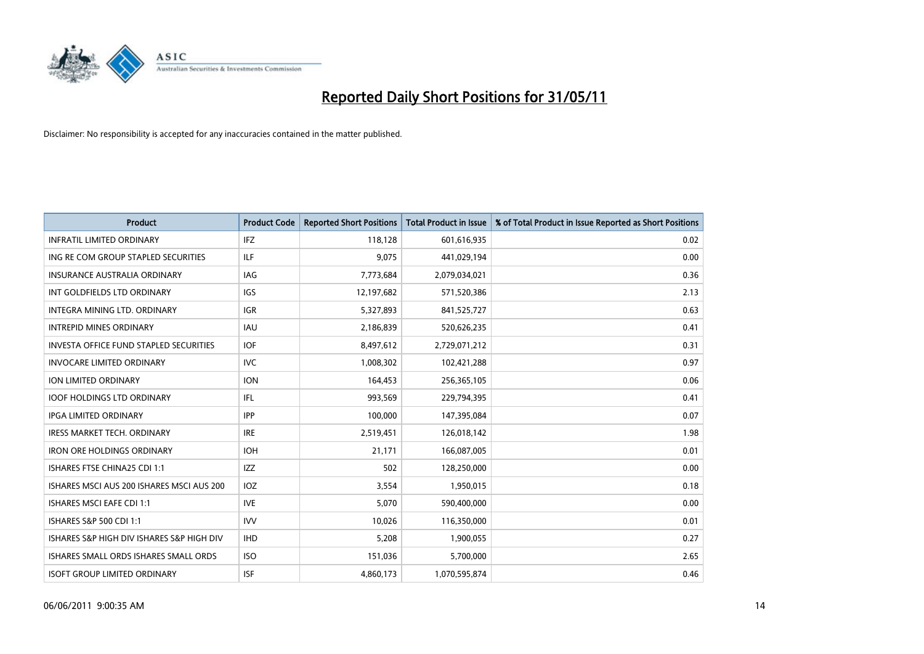

| <b>Product</b>                            | <b>Product Code</b> | <b>Reported Short Positions</b> | <b>Total Product in Issue</b> | % of Total Product in Issue Reported as Short Positions |
|-------------------------------------------|---------------------|---------------------------------|-------------------------------|---------------------------------------------------------|
| <b>INFRATIL LIMITED ORDINARY</b>          | IFZ                 | 118,128                         | 601,616,935                   | 0.02                                                    |
| ING RE COM GROUP STAPLED SECURITIES       | ILF                 | 9,075                           | 441,029,194                   | 0.00                                                    |
| <b>INSURANCE AUSTRALIA ORDINARY</b>       | <b>IAG</b>          | 7,773,684                       | 2,079,034,021                 | 0.36                                                    |
| INT GOLDFIELDS LTD ORDINARY               | <b>IGS</b>          | 12,197,682                      | 571,520,386                   | 2.13                                                    |
| INTEGRA MINING LTD, ORDINARY              | <b>IGR</b>          | 5,327,893                       | 841,525,727                   | 0.63                                                    |
| <b>INTREPID MINES ORDINARY</b>            | <b>IAU</b>          | 2,186,839                       | 520,626,235                   | 0.41                                                    |
| INVESTA OFFICE FUND STAPLED SECURITIES    | <b>IOF</b>          | 8,497,612                       | 2,729,071,212                 | 0.31                                                    |
| <b>INVOCARE LIMITED ORDINARY</b>          | <b>IVC</b>          | 1,008,302                       | 102,421,288                   | 0.97                                                    |
| <b>ION LIMITED ORDINARY</b>               | <b>ION</b>          | 164,453                         | 256,365,105                   | 0.06                                                    |
| <b>IOOF HOLDINGS LTD ORDINARY</b>         | <b>IFL</b>          | 993,569                         | 229,794,395                   | 0.41                                                    |
| <b>IPGA LIMITED ORDINARY</b>              | <b>IPP</b>          | 100,000                         | 147,395,084                   | 0.07                                                    |
| <b>IRESS MARKET TECH. ORDINARY</b>        | <b>IRE</b>          | 2,519,451                       | 126,018,142                   | 1.98                                                    |
| <b>IRON ORE HOLDINGS ORDINARY</b>         | <b>IOH</b>          | 21,171                          | 166,087,005                   | 0.01                                                    |
| ISHARES FTSE CHINA25 CDI 1:1              | <b>IZZ</b>          | 502                             | 128,250,000                   | 0.00                                                    |
| ISHARES MSCI AUS 200 ISHARES MSCI AUS 200 | <b>IOZ</b>          | 3,554                           | 1,950,015                     | 0.18                                                    |
| ISHARES MSCI EAFE CDI 1:1                 | <b>IVE</b>          | 5,070                           | 590,400,000                   | 0.00                                                    |
| ISHARES S&P 500 CDI 1:1                   | <b>IVV</b>          | 10,026                          | 116,350,000                   | 0.01                                                    |
| ISHARES S&P HIGH DIV ISHARES S&P HIGH DIV | <b>IHD</b>          | 5,208                           | 1,900,055                     | 0.27                                                    |
| ISHARES SMALL ORDS ISHARES SMALL ORDS     | <b>ISO</b>          | 151,036                         | 5,700,000                     | 2.65                                                    |
| <b>ISOFT GROUP LIMITED ORDINARY</b>       | <b>ISF</b>          | 4,860,173                       | 1,070,595,874                 | 0.46                                                    |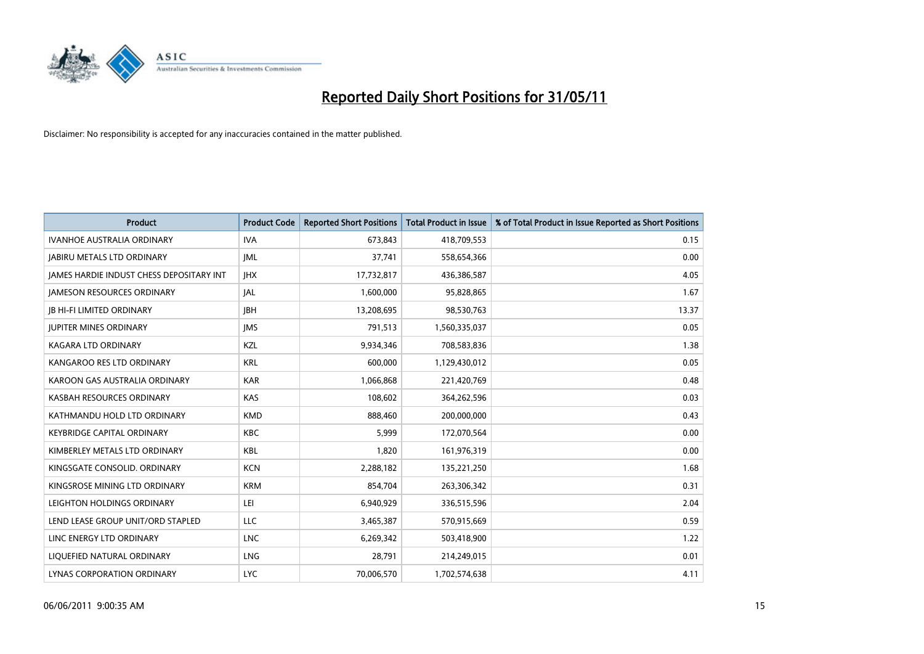

| <b>Product</b>                                  | <b>Product Code</b> | <b>Reported Short Positions</b> | <b>Total Product in Issue</b> | % of Total Product in Issue Reported as Short Positions |
|-------------------------------------------------|---------------------|---------------------------------|-------------------------------|---------------------------------------------------------|
| <b>IVANHOE AUSTRALIA ORDINARY</b>               | <b>IVA</b>          | 673,843                         | 418,709,553                   | 0.15                                                    |
| <b>JABIRU METALS LTD ORDINARY</b>               | IML                 | 37.741                          | 558,654,366                   | 0.00                                                    |
| <b>JAMES HARDIE INDUST CHESS DEPOSITARY INT</b> | <b>IHX</b>          | 17,732,817                      | 436,386,587                   | 4.05                                                    |
| <b>JAMESON RESOURCES ORDINARY</b>               | <b>JAL</b>          | 1,600,000                       | 95,828,865                    | 1.67                                                    |
| <b>IB HI-FI LIMITED ORDINARY</b>                | <b>IBH</b>          | 13,208,695                      | 98,530,763                    | 13.37                                                   |
| <b>JUPITER MINES ORDINARY</b>                   | <b>IMS</b>          | 791,513                         | 1,560,335,037                 | 0.05                                                    |
| KAGARA LTD ORDINARY                             | KZL                 | 9,934,346                       | 708,583,836                   | 1.38                                                    |
| KANGAROO RES LTD ORDINARY                       | <b>KRL</b>          | 600,000                         | 1,129,430,012                 | 0.05                                                    |
| KAROON GAS AUSTRALIA ORDINARY                   | <b>KAR</b>          | 1,066,868                       | 221,420,769                   | 0.48                                                    |
| KASBAH RESOURCES ORDINARY                       | <b>KAS</b>          | 108,602                         | 364,262,596                   | 0.03                                                    |
| KATHMANDU HOLD LTD ORDINARY                     | <b>KMD</b>          | 888,460                         | 200,000,000                   | 0.43                                                    |
| <b>KEYBRIDGE CAPITAL ORDINARY</b>               | <b>KBC</b>          | 5,999                           | 172,070,564                   | 0.00                                                    |
| KIMBERLEY METALS LTD ORDINARY                   | <b>KBL</b>          | 1.820                           | 161,976,319                   | 0.00                                                    |
| KINGSGATE CONSOLID. ORDINARY                    | <b>KCN</b>          | 2,288,182                       | 135,221,250                   | 1.68                                                    |
| KINGSROSE MINING LTD ORDINARY                   | <b>KRM</b>          | 854,704                         | 263,306,342                   | 0.31                                                    |
| LEIGHTON HOLDINGS ORDINARY                      | LEI                 | 6,940,929                       | 336,515,596                   | 2.04                                                    |
| LEND LEASE GROUP UNIT/ORD STAPLED               | LLC                 | 3,465,387                       | 570,915,669                   | 0.59                                                    |
| LINC ENERGY LTD ORDINARY                        | <b>LNC</b>          | 6,269,342                       | 503,418,900                   | 1.22                                                    |
| LIOUEFIED NATURAL ORDINARY                      | LNG                 | 28,791                          | 214,249,015                   | 0.01                                                    |
| LYNAS CORPORATION ORDINARY                      | <b>LYC</b>          | 70.006.570                      | 1,702,574,638                 | 4.11                                                    |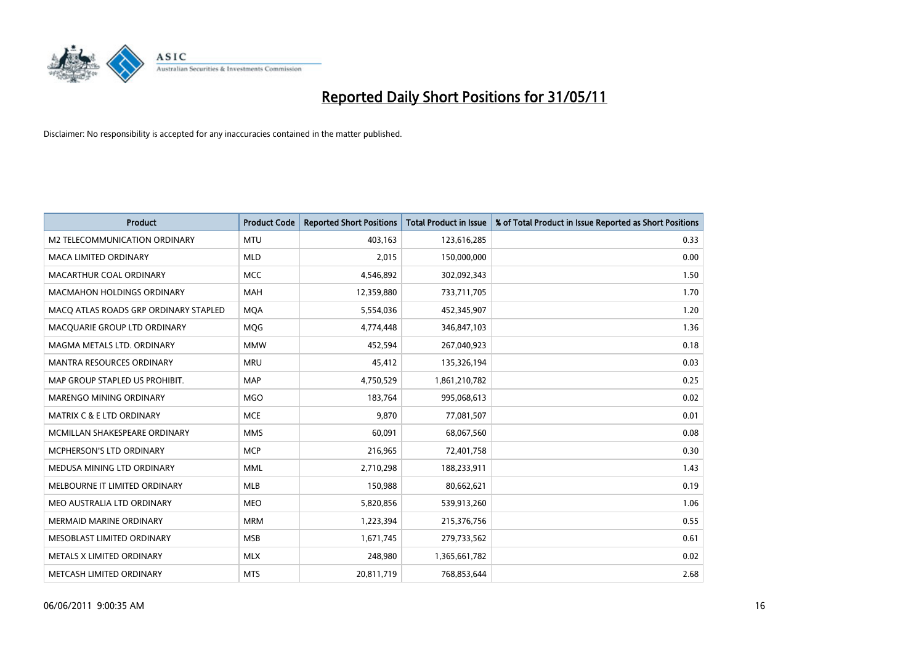

| <b>Product</b>                        | <b>Product Code</b> | <b>Reported Short Positions</b> | <b>Total Product in Issue</b> | % of Total Product in Issue Reported as Short Positions |
|---------------------------------------|---------------------|---------------------------------|-------------------------------|---------------------------------------------------------|
| M2 TELECOMMUNICATION ORDINARY         | <b>MTU</b>          | 403,163                         | 123,616,285                   | 0.33                                                    |
| MACA LIMITED ORDINARY                 | <b>MLD</b>          | 2,015                           | 150,000,000                   | 0.00                                                    |
| MACARTHUR COAL ORDINARY               | <b>MCC</b>          | 4,546,892                       | 302,092,343                   | 1.50                                                    |
| <b>MACMAHON HOLDINGS ORDINARY</b>     | <b>MAH</b>          | 12,359,880                      | 733,711,705                   | 1.70                                                    |
| MACQ ATLAS ROADS GRP ORDINARY STAPLED | <b>MOA</b>          | 5,554,036                       | 452,345,907                   | 1.20                                                    |
| MACQUARIE GROUP LTD ORDINARY          | <b>MOG</b>          | 4,774,448                       | 346,847,103                   | 1.36                                                    |
| MAGMA METALS LTD. ORDINARY            | <b>MMW</b>          | 452,594                         | 267,040,923                   | 0.18                                                    |
| MANTRA RESOURCES ORDINARY             | <b>MRU</b>          | 45,412                          | 135,326,194                   | 0.03                                                    |
| MAP GROUP STAPLED US PROHIBIT.        | <b>MAP</b>          | 4,750,529                       | 1,861,210,782                 | 0.25                                                    |
| MARENGO MINING ORDINARY               | <b>MGO</b>          | 183,764                         | 995,068,613                   | 0.02                                                    |
| <b>MATRIX C &amp; E LTD ORDINARY</b>  | <b>MCE</b>          | 9,870                           | 77,081,507                    | 0.01                                                    |
| MCMILLAN SHAKESPEARE ORDINARY         | <b>MMS</b>          | 60,091                          | 68,067,560                    | 0.08                                                    |
| MCPHERSON'S LTD ORDINARY              | <b>MCP</b>          | 216,965                         | 72,401,758                    | 0.30                                                    |
| MEDUSA MINING LTD ORDINARY            | <b>MML</b>          | 2,710,298                       | 188,233,911                   | 1.43                                                    |
| MELBOURNE IT LIMITED ORDINARY         | <b>MLB</b>          | 150,988                         | 80,662,621                    | 0.19                                                    |
| MEO AUSTRALIA LTD ORDINARY            | <b>MEO</b>          | 5,820,856                       | 539,913,260                   | 1.06                                                    |
| MERMAID MARINE ORDINARY               | <b>MRM</b>          | 1,223,394                       | 215,376,756                   | 0.55                                                    |
| MESOBLAST LIMITED ORDINARY            | <b>MSB</b>          | 1,671,745                       | 279,733,562                   | 0.61                                                    |
| METALS X LIMITED ORDINARY             | <b>MLX</b>          | 248,980                         | 1,365,661,782                 | 0.02                                                    |
| METCASH LIMITED ORDINARY              | <b>MTS</b>          | 20,811,719                      | 768,853,644                   | 2.68                                                    |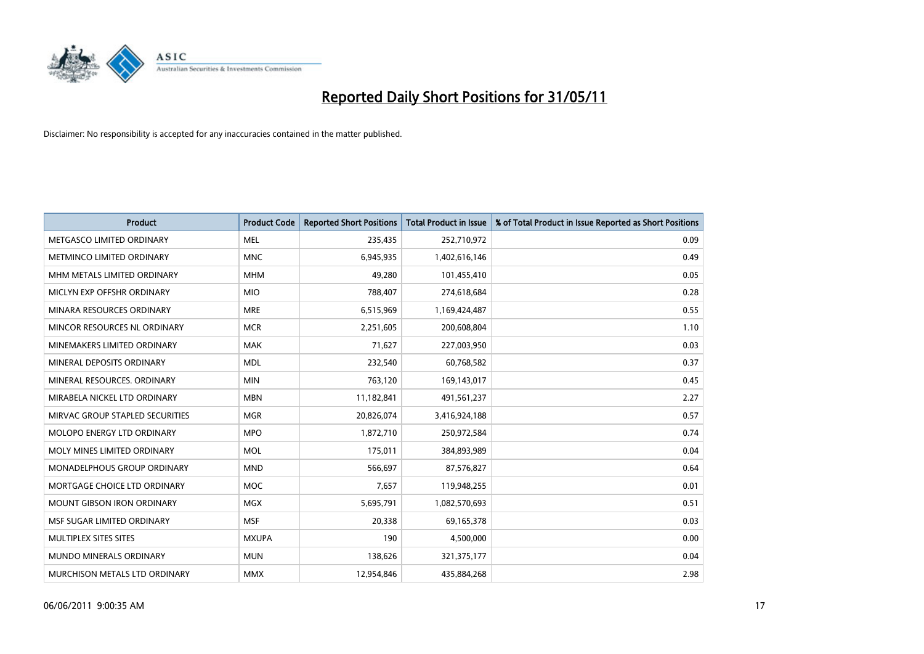

| <b>Product</b>                     | <b>Product Code</b> | <b>Reported Short Positions</b> | <b>Total Product in Issue</b> | % of Total Product in Issue Reported as Short Positions |
|------------------------------------|---------------------|---------------------------------|-------------------------------|---------------------------------------------------------|
| METGASCO LIMITED ORDINARY          | <b>MEL</b>          | 235,435                         | 252,710,972                   | 0.09                                                    |
| METMINCO LIMITED ORDINARY          | <b>MNC</b>          | 6,945,935                       | 1,402,616,146                 | 0.49                                                    |
| MHM METALS LIMITED ORDINARY        | <b>MHM</b>          | 49,280                          | 101,455,410                   | 0.05                                                    |
| MICLYN EXP OFFSHR ORDINARY         | <b>MIO</b>          | 788,407                         | 274,618,684                   | 0.28                                                    |
| MINARA RESOURCES ORDINARY          | <b>MRE</b>          | 6,515,969                       | 1,169,424,487                 | 0.55                                                    |
| MINCOR RESOURCES NL ORDINARY       | <b>MCR</b>          | 2,251,605                       | 200,608,804                   | 1.10                                                    |
| MINEMAKERS LIMITED ORDINARY        | <b>MAK</b>          | 71,627                          | 227,003,950                   | 0.03                                                    |
| MINERAL DEPOSITS ORDINARY          | <b>MDL</b>          | 232,540                         | 60,768,582                    | 0.37                                                    |
| MINERAL RESOURCES, ORDINARY        | <b>MIN</b>          | 763,120                         | 169,143,017                   | 0.45                                                    |
| MIRABELA NICKEL LTD ORDINARY       | <b>MBN</b>          | 11,182,841                      | 491,561,237                   | 2.27                                                    |
| MIRVAC GROUP STAPLED SECURITIES    | <b>MGR</b>          | 20,826,074                      | 3,416,924,188                 | 0.57                                                    |
| <b>MOLOPO ENERGY LTD ORDINARY</b>  | <b>MPO</b>          | 1,872,710                       | 250,972,584                   | 0.74                                                    |
| MOLY MINES LIMITED ORDINARY        | <b>MOL</b>          | 175,011                         | 384,893,989                   | 0.04                                                    |
| <b>MONADELPHOUS GROUP ORDINARY</b> | <b>MND</b>          | 566,697                         | 87,576,827                    | 0.64                                                    |
| MORTGAGE CHOICE LTD ORDINARY       | <b>MOC</b>          | 7,657                           | 119,948,255                   | 0.01                                                    |
| MOUNT GIBSON IRON ORDINARY         | MGX                 | 5,695,791                       | 1,082,570,693                 | 0.51                                                    |
| MSF SUGAR LIMITED ORDINARY         | <b>MSF</b>          | 20,338                          | 69,165,378                    | 0.03                                                    |
| MULTIPLEX SITES SITES              | <b>MXUPA</b>        | 190                             | 4,500,000                     | 0.00                                                    |
| <b>MUNDO MINERALS ORDINARY</b>     | <b>MUN</b>          | 138,626                         | 321,375,177                   | 0.04                                                    |
| MURCHISON METALS LTD ORDINARY      | <b>MMX</b>          | 12,954,846                      | 435,884,268                   | 2.98                                                    |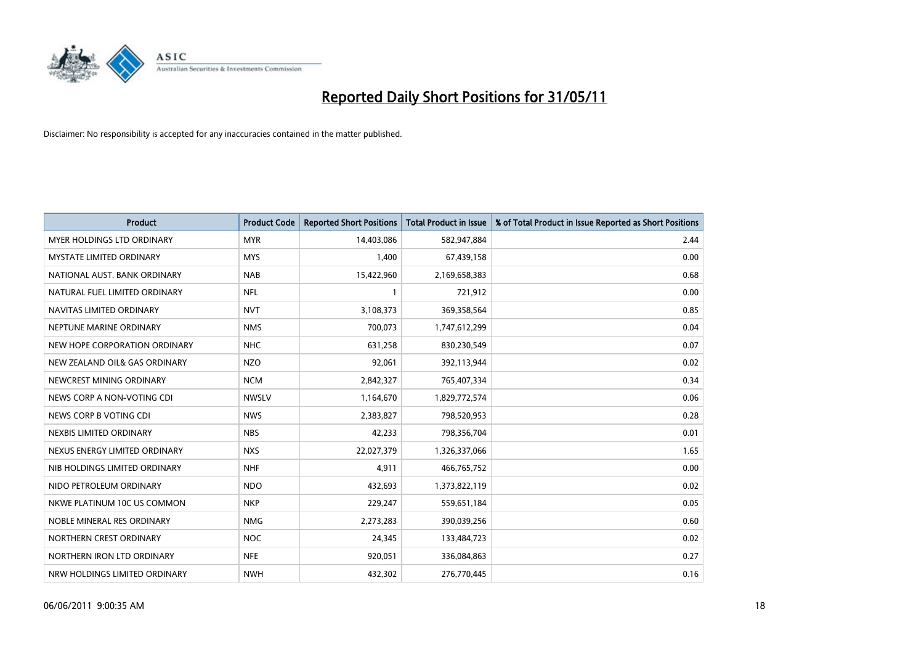

| <b>Product</b>                    | <b>Product Code</b> | <b>Reported Short Positions</b> | <b>Total Product in Issue</b> | % of Total Product in Issue Reported as Short Positions |
|-----------------------------------|---------------------|---------------------------------|-------------------------------|---------------------------------------------------------|
| <b>MYER HOLDINGS LTD ORDINARY</b> | <b>MYR</b>          | 14,403,086                      | 582,947,884                   | 2.44                                                    |
| <b>MYSTATE LIMITED ORDINARY</b>   | <b>MYS</b>          | 1,400                           | 67,439,158                    | 0.00                                                    |
| NATIONAL AUST. BANK ORDINARY      | <b>NAB</b>          | 15,422,960                      | 2,169,658,383                 | 0.68                                                    |
| NATURAL FUEL LIMITED ORDINARY     | <b>NFL</b>          | $\mathbf{1}$                    | 721,912                       | 0.00                                                    |
| NAVITAS LIMITED ORDINARY          | <b>NVT</b>          | 3,108,373                       | 369,358,564                   | 0.85                                                    |
| NEPTUNE MARINE ORDINARY           | <b>NMS</b>          | 700,073                         | 1,747,612,299                 | 0.04                                                    |
| NEW HOPE CORPORATION ORDINARY     | <b>NHC</b>          | 631,258                         | 830,230,549                   | 0.07                                                    |
| NEW ZEALAND OIL& GAS ORDINARY     | <b>NZO</b>          | 92,061                          | 392,113,944                   | 0.02                                                    |
| NEWCREST MINING ORDINARY          | <b>NCM</b>          | 2,842,327                       | 765,407,334                   | 0.34                                                    |
| NEWS CORP A NON-VOTING CDI        | <b>NWSLV</b>        | 1,164,670                       | 1,829,772,574                 | 0.06                                                    |
| NEWS CORP B VOTING CDI            | <b>NWS</b>          | 2,383,827                       | 798,520,953                   | 0.28                                                    |
| NEXBIS LIMITED ORDINARY           | <b>NBS</b>          | 42,233                          | 798,356,704                   | 0.01                                                    |
| NEXUS ENERGY LIMITED ORDINARY     | <b>NXS</b>          | 22,027,379                      | 1,326,337,066                 | 1.65                                                    |
| NIB HOLDINGS LIMITED ORDINARY     | <b>NHF</b>          | 4,911                           | 466,765,752                   | 0.00                                                    |
| NIDO PETROLEUM ORDINARY           | <b>NDO</b>          | 432,693                         | 1,373,822,119                 | 0.02                                                    |
| NKWE PLATINUM 10C US COMMON       | <b>NKP</b>          | 229,247                         | 559,651,184                   | 0.05                                                    |
| NOBLE MINERAL RES ORDINARY        | <b>NMG</b>          | 2,273,283                       | 390,039,256                   | 0.60                                                    |
| NORTHERN CREST ORDINARY           | <b>NOC</b>          | 24,345                          | 133,484,723                   | 0.02                                                    |
| NORTHERN IRON LTD ORDINARY        | <b>NFE</b>          | 920,051                         | 336,084,863                   | 0.27                                                    |
| NRW HOLDINGS LIMITED ORDINARY     | <b>NWH</b>          | 432,302                         | 276,770,445                   | 0.16                                                    |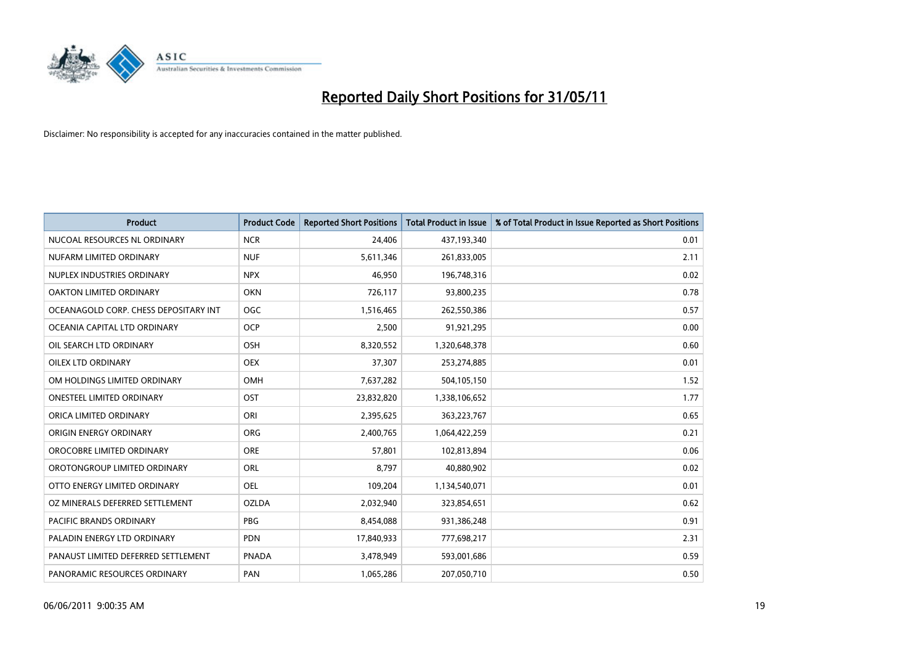

| <b>Product</b>                        | <b>Product Code</b> | <b>Reported Short Positions</b> | <b>Total Product in Issue</b> | % of Total Product in Issue Reported as Short Positions |
|---------------------------------------|---------------------|---------------------------------|-------------------------------|---------------------------------------------------------|
| NUCOAL RESOURCES NL ORDINARY          | <b>NCR</b>          | 24,406                          | 437,193,340                   | 0.01                                                    |
| NUFARM LIMITED ORDINARY               | <b>NUF</b>          | 5,611,346                       | 261,833,005                   | 2.11                                                    |
| NUPLEX INDUSTRIES ORDINARY            | <b>NPX</b>          | 46,950                          | 196,748,316                   | 0.02                                                    |
| OAKTON LIMITED ORDINARY               | <b>OKN</b>          | 726,117                         | 93,800,235                    | 0.78                                                    |
| OCEANAGOLD CORP. CHESS DEPOSITARY INT | <b>OGC</b>          | 1,516,465                       | 262,550,386                   | 0.57                                                    |
| OCEANIA CAPITAL LTD ORDINARY          | <b>OCP</b>          | 2,500                           | 91,921,295                    | 0.00                                                    |
| OIL SEARCH LTD ORDINARY               | OSH                 | 8,320,552                       | 1,320,648,378                 | 0.60                                                    |
| OILEX LTD ORDINARY                    | <b>OEX</b>          | 37,307                          | 253,274,885                   | 0.01                                                    |
| OM HOLDINGS LIMITED ORDINARY          | <b>OMH</b>          | 7,637,282                       | 504,105,150                   | 1.52                                                    |
| <b>ONESTEEL LIMITED ORDINARY</b>      | OST                 | 23,832,820                      | 1,338,106,652                 | 1.77                                                    |
| ORICA LIMITED ORDINARY                | ORI                 | 2,395,625                       | 363,223,767                   | 0.65                                                    |
| ORIGIN ENERGY ORDINARY                | ORG                 | 2,400,765                       | 1,064,422,259                 | 0.21                                                    |
| OROCOBRE LIMITED ORDINARY             | <b>ORE</b>          | 57,801                          | 102,813,894                   | 0.06                                                    |
| OROTONGROUP LIMITED ORDINARY          | <b>ORL</b>          | 8,797                           | 40,880,902                    | 0.02                                                    |
| OTTO ENERGY LIMITED ORDINARY          | <b>OEL</b>          | 109,204                         | 1,134,540,071                 | 0.01                                                    |
| OZ MINERALS DEFERRED SETTLEMENT       | <b>OZLDA</b>        | 2,032,940                       | 323,854,651                   | 0.62                                                    |
| PACIFIC BRANDS ORDINARY               | PBG                 | 8,454,088                       | 931,386,248                   | 0.91                                                    |
| PALADIN ENERGY LTD ORDINARY           | <b>PDN</b>          | 17,840,933                      | 777,698,217                   | 2.31                                                    |
| PANAUST LIMITED DEFERRED SETTLEMENT   | <b>PNADA</b>        | 3,478,949                       | 593,001,686                   | 0.59                                                    |
| PANORAMIC RESOURCES ORDINARY          | PAN                 | 1,065,286                       | 207,050,710                   | 0.50                                                    |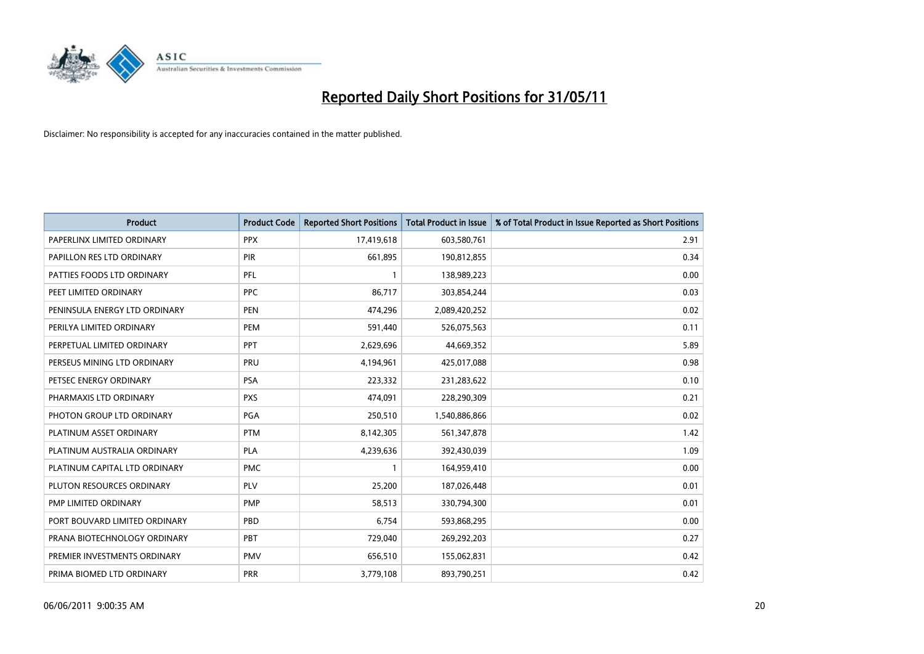

| Product                       | <b>Product Code</b> | <b>Reported Short Positions</b> | Total Product in Issue | % of Total Product in Issue Reported as Short Positions |
|-------------------------------|---------------------|---------------------------------|------------------------|---------------------------------------------------------|
| PAPERLINX LIMITED ORDINARY    | <b>PPX</b>          | 17,419,618                      | 603,580,761            | 2.91                                                    |
| PAPILLON RES LTD ORDINARY     | <b>PIR</b>          | 661,895                         | 190,812,855            | 0.34                                                    |
| PATTIES FOODS LTD ORDINARY    | PFL                 |                                 | 138,989,223            | 0.00                                                    |
| PEET LIMITED ORDINARY         | PPC                 | 86,717                          | 303,854,244            | 0.03                                                    |
| PENINSULA ENERGY LTD ORDINARY | <b>PEN</b>          | 474,296                         | 2,089,420,252          | 0.02                                                    |
| PERILYA LIMITED ORDINARY      | PEM                 | 591,440                         | 526,075,563            | 0.11                                                    |
| PERPETUAL LIMITED ORDINARY    | PPT                 | 2,629,696                       | 44,669,352             | 5.89                                                    |
| PERSEUS MINING LTD ORDINARY   | PRU                 | 4,194,961                       | 425,017,088            | 0.98                                                    |
| PETSEC ENERGY ORDINARY        | <b>PSA</b>          | 223,332                         | 231,283,622            | 0.10                                                    |
| PHARMAXIS LTD ORDINARY        | <b>PXS</b>          | 474,091                         | 228,290,309            | 0.21                                                    |
| PHOTON GROUP LTD ORDINARY     | <b>PGA</b>          | 250,510                         | 1,540,886,866          | 0.02                                                    |
| PLATINUM ASSET ORDINARY       | <b>PTM</b>          | 8,142,305                       | 561,347,878            | 1.42                                                    |
| PLATINUM AUSTRALIA ORDINARY   | <b>PLA</b>          | 4,239,636                       | 392,430,039            | 1.09                                                    |
| PLATINUM CAPITAL LTD ORDINARY | <b>PMC</b>          |                                 | 164,959,410            | 0.00                                                    |
| PLUTON RESOURCES ORDINARY     | PLV                 | 25,200                          | 187,026,448            | 0.01                                                    |
| PMP LIMITED ORDINARY          | <b>PMP</b>          | 58,513                          | 330,794,300            | 0.01                                                    |
| PORT BOUVARD LIMITED ORDINARY | PBD                 | 6,754                           | 593,868,295            | 0.00                                                    |
| PRANA BIOTECHNOLOGY ORDINARY  | <b>PBT</b>          | 729,040                         | 269,292,203            | 0.27                                                    |
| PREMIER INVESTMENTS ORDINARY  | <b>PMV</b>          | 656,510                         | 155,062,831            | 0.42                                                    |
| PRIMA BIOMED LTD ORDINARY     | <b>PRR</b>          | 3,779,108                       | 893,790,251            | 0.42                                                    |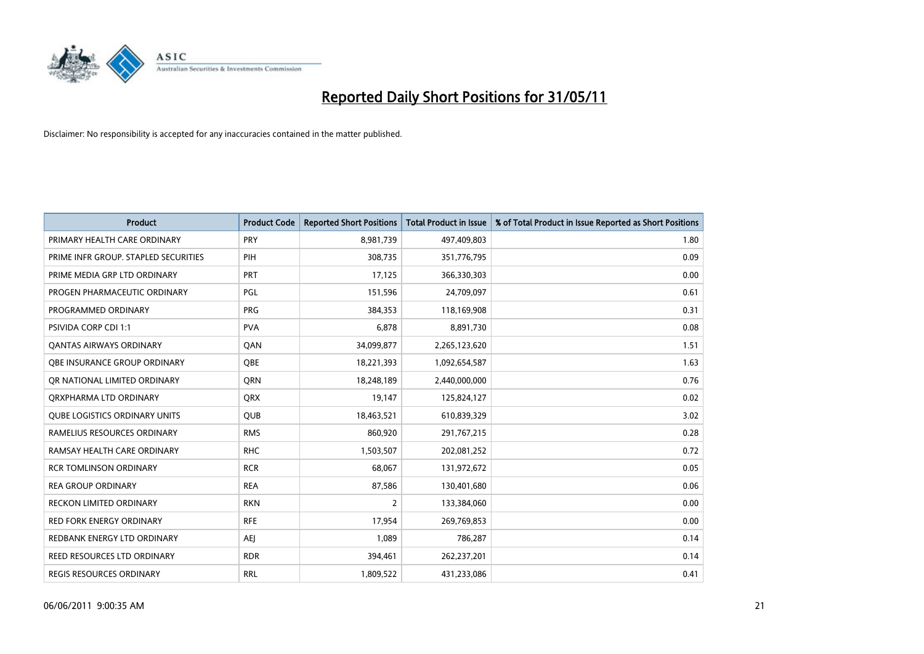

| <b>Product</b>                       | <b>Product Code</b> | <b>Reported Short Positions</b> | <b>Total Product in Issue</b> | % of Total Product in Issue Reported as Short Positions |
|--------------------------------------|---------------------|---------------------------------|-------------------------------|---------------------------------------------------------|
| PRIMARY HEALTH CARE ORDINARY         | PRY                 | 8,981,739                       | 497,409,803                   | 1.80                                                    |
| PRIME INFR GROUP. STAPLED SECURITIES | PIH                 | 308,735                         | 351,776,795                   | 0.09                                                    |
| PRIME MEDIA GRP LTD ORDINARY         | PRT                 | 17,125                          | 366,330,303                   | 0.00                                                    |
| PROGEN PHARMACEUTIC ORDINARY         | PGL                 | 151,596                         | 24,709,097                    | 0.61                                                    |
| PROGRAMMED ORDINARY                  | <b>PRG</b>          | 384,353                         | 118,169,908                   | 0.31                                                    |
| PSIVIDA CORP CDI 1:1                 | <b>PVA</b>          | 6,878                           | 8,891,730                     | 0.08                                                    |
| <b>QANTAS AIRWAYS ORDINARY</b>       | QAN                 | 34,099,877                      | 2,265,123,620                 | 1.51                                                    |
| OBE INSURANCE GROUP ORDINARY         | OBE                 | 18,221,393                      | 1,092,654,587                 | 1.63                                                    |
| OR NATIONAL LIMITED ORDINARY         | <b>ORN</b>          | 18,248,189                      | 2,440,000,000                 | 0.76                                                    |
| ORXPHARMA LTD ORDINARY               | <b>ORX</b>          | 19,147                          | 125,824,127                   | 0.02                                                    |
| <b>QUBE LOGISTICS ORDINARY UNITS</b> | <b>OUB</b>          | 18,463,521                      | 610,839,329                   | 3.02                                                    |
| RAMELIUS RESOURCES ORDINARY          | <b>RMS</b>          | 860,920                         | 291,767,215                   | 0.28                                                    |
| RAMSAY HEALTH CARE ORDINARY          | <b>RHC</b>          | 1,503,507                       | 202,081,252                   | 0.72                                                    |
| <b>RCR TOMLINSON ORDINARY</b>        | <b>RCR</b>          | 68,067                          | 131,972,672                   | 0.05                                                    |
| <b>REA GROUP ORDINARY</b>            | <b>REA</b>          | 87,586                          | 130,401,680                   | 0.06                                                    |
| RECKON LIMITED ORDINARY              | <b>RKN</b>          | 2                               | 133,384,060                   | 0.00                                                    |
| RED FORK ENERGY ORDINARY             | <b>RFE</b>          | 17,954                          | 269,769,853                   | 0.00                                                    |
| REDBANK ENERGY LTD ORDINARY          | <b>AEI</b>          | 1.089                           | 786,287                       | 0.14                                                    |
| REED RESOURCES LTD ORDINARY          | <b>RDR</b>          | 394,461                         | 262,237,201                   | 0.14                                                    |
| <b>REGIS RESOURCES ORDINARY</b>      | <b>RRL</b>          | 1,809,522                       | 431,233,086                   | 0.41                                                    |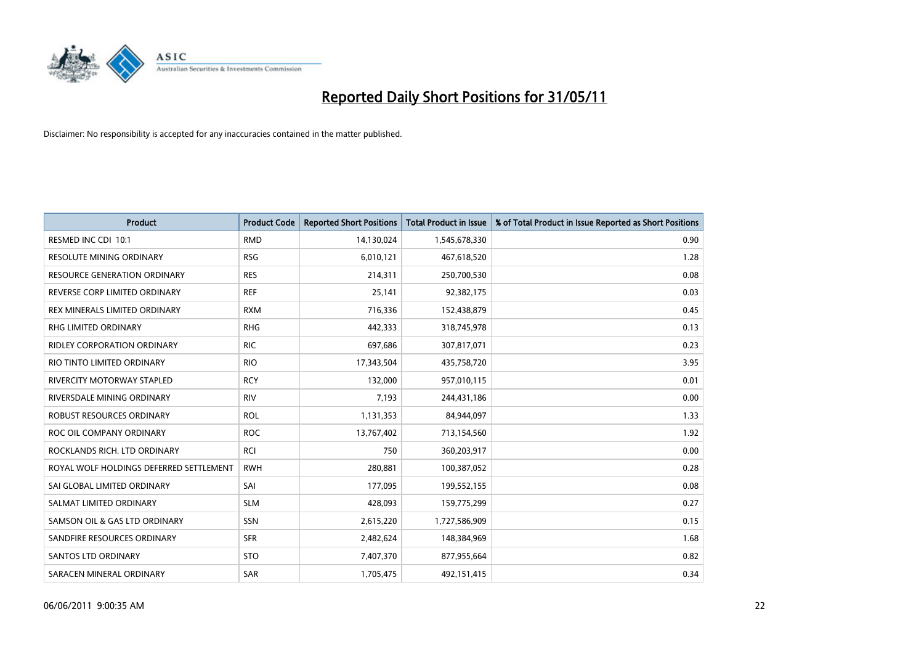

| <b>Product</b>                          | <b>Product Code</b> | <b>Reported Short Positions</b> | <b>Total Product in Issue</b> | % of Total Product in Issue Reported as Short Positions |
|-----------------------------------------|---------------------|---------------------------------|-------------------------------|---------------------------------------------------------|
| RESMED INC CDI 10:1                     | <b>RMD</b>          | 14,130,024                      | 1,545,678,330                 | 0.90                                                    |
| RESOLUTE MINING ORDINARY                | <b>RSG</b>          | 6,010,121                       | 467,618,520                   | 1.28                                                    |
| <b>RESOURCE GENERATION ORDINARY</b>     | <b>RES</b>          | 214,311                         | 250,700,530                   | 0.08                                                    |
| REVERSE CORP LIMITED ORDINARY           | <b>REF</b>          | 25,141                          | 92,382,175                    | 0.03                                                    |
| REX MINERALS LIMITED ORDINARY           | <b>RXM</b>          | 716,336                         | 152,438,879                   | 0.45                                                    |
| <b>RHG LIMITED ORDINARY</b>             | <b>RHG</b>          | 442.333                         | 318,745,978                   | 0.13                                                    |
| <b>RIDLEY CORPORATION ORDINARY</b>      | <b>RIC</b>          | 697,686                         | 307,817,071                   | 0.23                                                    |
| RIO TINTO LIMITED ORDINARY              | <b>RIO</b>          | 17,343,504                      | 435,758,720                   | 3.95                                                    |
| RIVERCITY MOTORWAY STAPLED              | <b>RCY</b>          | 132,000                         | 957,010,115                   | 0.01                                                    |
| RIVERSDALE MINING ORDINARY              | <b>RIV</b>          | 7,193                           | 244,431,186                   | 0.00                                                    |
| ROBUST RESOURCES ORDINARY               | <b>ROL</b>          | 1,131,353                       | 84,944,097                    | 1.33                                                    |
| ROC OIL COMPANY ORDINARY                | <b>ROC</b>          | 13,767,402                      | 713,154,560                   | 1.92                                                    |
| ROCKLANDS RICH. LTD ORDINARY            | <b>RCI</b>          | 750                             | 360,203,917                   | 0.00                                                    |
| ROYAL WOLF HOLDINGS DEFERRED SETTLEMENT | <b>RWH</b>          | 280,881                         | 100,387,052                   | 0.28                                                    |
| SAI GLOBAL LIMITED ORDINARY             | SAI                 | 177,095                         | 199,552,155                   | 0.08                                                    |
| SALMAT LIMITED ORDINARY                 | <b>SLM</b>          | 428.093                         | 159,775,299                   | 0.27                                                    |
| SAMSON OIL & GAS LTD ORDINARY           | SSN                 | 2,615,220                       | 1,727,586,909                 | 0.15                                                    |
| SANDFIRE RESOURCES ORDINARY             | <b>SFR</b>          | 2,482,624                       | 148,384,969                   | 1.68                                                    |
| <b>SANTOS LTD ORDINARY</b>              | <b>STO</b>          | 7,407,370                       | 877,955,664                   | 0.82                                                    |
| SARACEN MINERAL ORDINARY                | <b>SAR</b>          | 1,705,475                       | 492,151,415                   | 0.34                                                    |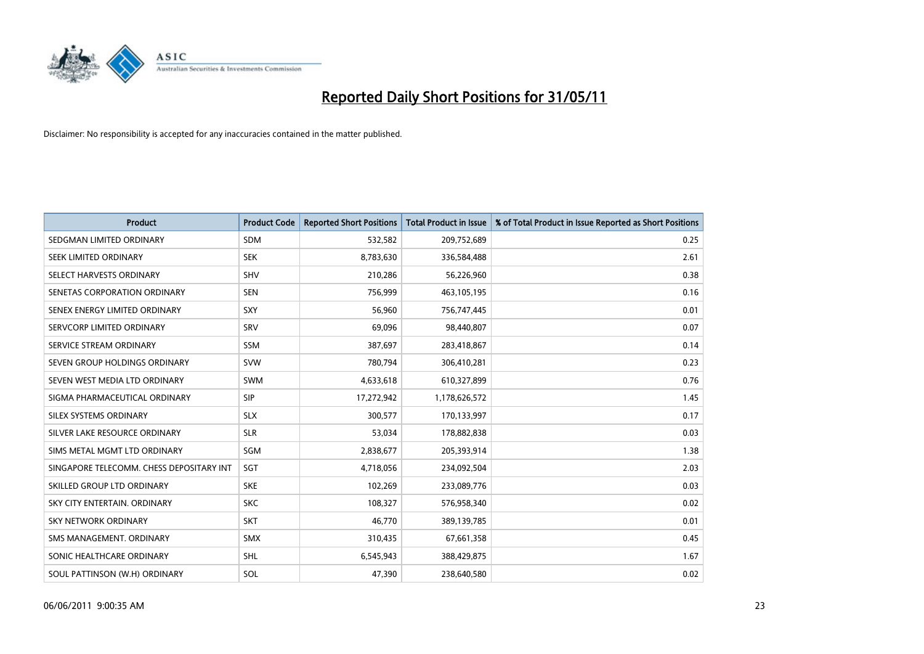

| <b>Product</b>                           | <b>Product Code</b> | <b>Reported Short Positions</b> | <b>Total Product in Issue</b> | % of Total Product in Issue Reported as Short Positions |
|------------------------------------------|---------------------|---------------------------------|-------------------------------|---------------------------------------------------------|
| SEDGMAN LIMITED ORDINARY                 | <b>SDM</b>          | 532,582                         | 209,752,689                   | 0.25                                                    |
| SEEK LIMITED ORDINARY                    | <b>SEK</b>          | 8,783,630                       | 336,584,488                   | 2.61                                                    |
| SELECT HARVESTS ORDINARY                 | SHV                 | 210,286                         | 56,226,960                    | 0.38                                                    |
| SENETAS CORPORATION ORDINARY             | <b>SEN</b>          | 756,999                         | 463,105,195                   | 0.16                                                    |
| SENEX ENERGY LIMITED ORDINARY            | SXY                 | 56,960                          | 756,747,445                   | 0.01                                                    |
| SERVCORP LIMITED ORDINARY                | SRV                 | 69,096                          | 98,440,807                    | 0.07                                                    |
| SERVICE STREAM ORDINARY                  | <b>SSM</b>          | 387,697                         | 283,418,867                   | 0.14                                                    |
| SEVEN GROUP HOLDINGS ORDINARY            | <b>SVW</b>          | 780,794                         | 306,410,281                   | 0.23                                                    |
| SEVEN WEST MEDIA LTD ORDINARY            | <b>SWM</b>          | 4,633,618                       | 610,327,899                   | 0.76                                                    |
| SIGMA PHARMACEUTICAL ORDINARY            | SIP                 | 17,272,942                      | 1,178,626,572                 | 1.45                                                    |
| SILEX SYSTEMS ORDINARY                   | <b>SLX</b>          | 300,577                         | 170,133,997                   | 0.17                                                    |
| SILVER LAKE RESOURCE ORDINARY            | <b>SLR</b>          | 53,034                          | 178,882,838                   | 0.03                                                    |
| SIMS METAL MGMT LTD ORDINARY             | SGM                 | 2,838,677                       | 205,393,914                   | 1.38                                                    |
| SINGAPORE TELECOMM. CHESS DEPOSITARY INT | SGT                 | 4,718,056                       | 234,092,504                   | 2.03                                                    |
| SKILLED GROUP LTD ORDINARY               | <b>SKE</b>          | 102,269                         | 233,089,776                   | 0.03                                                    |
| SKY CITY ENTERTAIN, ORDINARY             | <b>SKC</b>          | 108,327                         | 576,958,340                   | 0.02                                                    |
| SKY NETWORK ORDINARY                     | <b>SKT</b>          | 46,770                          | 389,139,785                   | 0.01                                                    |
| SMS MANAGEMENT. ORDINARY                 | <b>SMX</b>          | 310,435                         | 67,661,358                    | 0.45                                                    |
| SONIC HEALTHCARE ORDINARY                | <b>SHL</b>          | 6,545,943                       | 388,429,875                   | 1.67                                                    |
| SOUL PATTINSON (W.H) ORDINARY            | SOL                 | 47,390                          | 238,640,580                   | 0.02                                                    |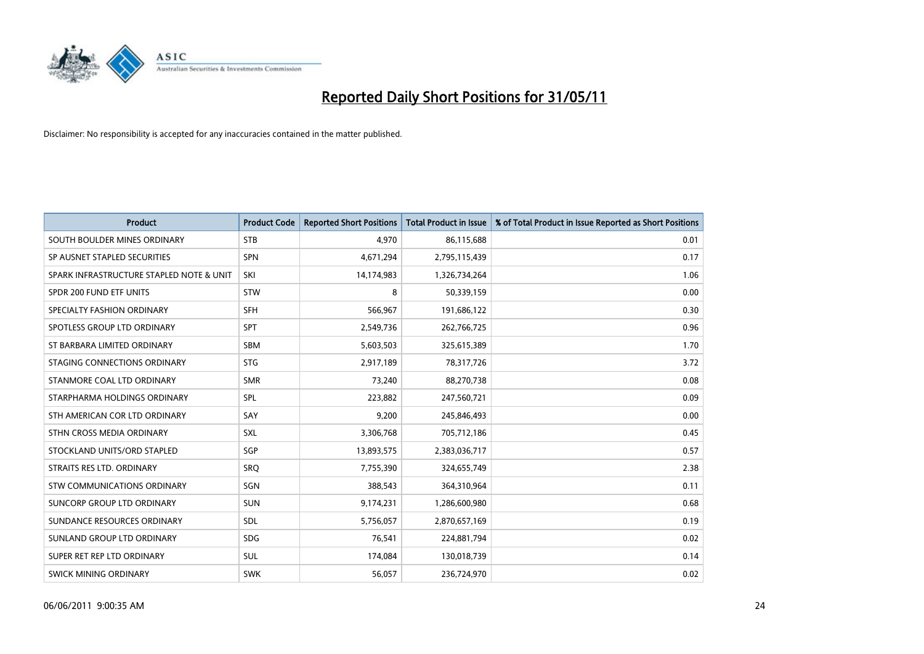

| <b>Product</b>                           | <b>Product Code</b> | <b>Reported Short Positions</b> | Total Product in Issue | % of Total Product in Issue Reported as Short Positions |
|------------------------------------------|---------------------|---------------------------------|------------------------|---------------------------------------------------------|
| SOUTH BOULDER MINES ORDINARY             | <b>STB</b>          | 4,970                           | 86,115,688             | 0.01                                                    |
| SP AUSNET STAPLED SECURITIES             | <b>SPN</b>          | 4,671,294                       | 2,795,115,439          | 0.17                                                    |
| SPARK INFRASTRUCTURE STAPLED NOTE & UNIT | SKI                 | 14,174,983                      | 1,326,734,264          | 1.06                                                    |
| SPDR 200 FUND ETF UNITS                  | <b>STW</b>          | 8                               | 50,339,159             | 0.00                                                    |
| SPECIALTY FASHION ORDINARY               | <b>SFH</b>          | 566,967                         | 191,686,122            | 0.30                                                    |
| SPOTLESS GROUP LTD ORDINARY              | <b>SPT</b>          | 2,549,736                       | 262,766,725            | 0.96                                                    |
| ST BARBARA LIMITED ORDINARY              | <b>SBM</b>          | 5,603,503                       | 325,615,389            | 1.70                                                    |
| STAGING CONNECTIONS ORDINARY             | <b>STG</b>          | 2,917,189                       | 78,317,726             | 3.72                                                    |
| STANMORE COAL LTD ORDINARY               | <b>SMR</b>          | 73,240                          | 88,270,738             | 0.08                                                    |
| STARPHARMA HOLDINGS ORDINARY             | SPL                 | 223,882                         | 247,560,721            | 0.09                                                    |
| STH AMERICAN COR LTD ORDINARY            | SAY                 | 9,200                           | 245,846,493            | 0.00                                                    |
| STHN CROSS MEDIA ORDINARY                | SXL                 | 3,306,768                       | 705,712,186            | 0.45                                                    |
| STOCKLAND UNITS/ORD STAPLED              | SGP                 | 13,893,575                      | 2,383,036,717          | 0.57                                                    |
| STRAITS RES LTD. ORDINARY                | <b>SRO</b>          | 7,755,390                       | 324,655,749            | 2.38                                                    |
| <b>STW COMMUNICATIONS ORDINARY</b>       | SGN                 | 388,543                         | 364,310,964            | 0.11                                                    |
| SUNCORP GROUP LTD ORDINARY               | SUN                 | 9,174,231                       | 1,286,600,980          | 0.68                                                    |
| SUNDANCE RESOURCES ORDINARY              | SDL                 | 5,756,057                       | 2,870,657,169          | 0.19                                                    |
| SUNLAND GROUP LTD ORDINARY               | <b>SDG</b>          | 76,541                          | 224,881,794            | 0.02                                                    |
| SUPER RET REP LTD ORDINARY               | <b>SUL</b>          | 174,084                         | 130,018,739            | 0.14                                                    |
| SWICK MINING ORDINARY                    | <b>SWK</b>          | 56,057                          | 236,724,970            | 0.02                                                    |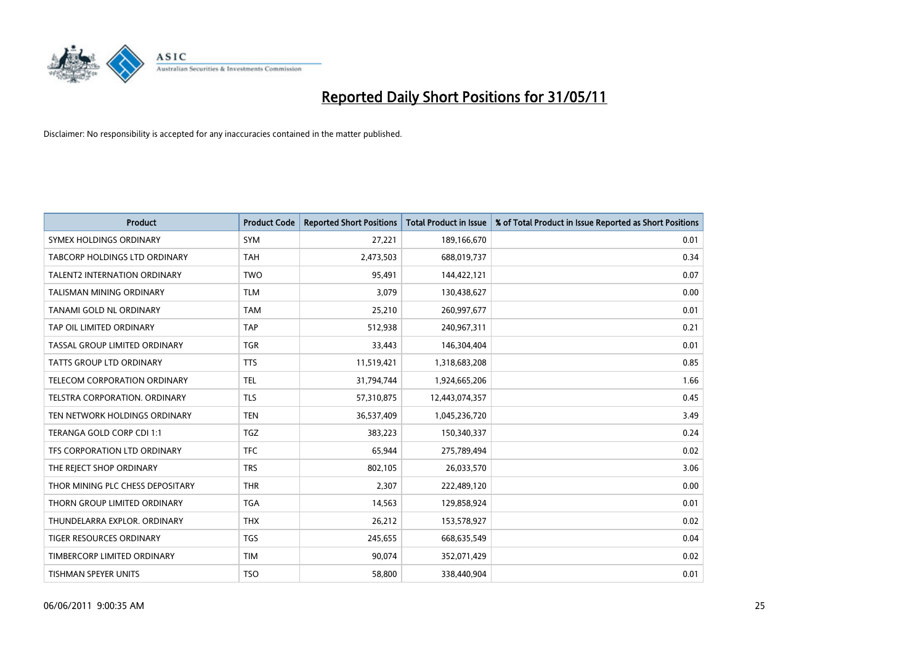

| <b>Product</b>                      | <b>Product Code</b> | <b>Reported Short Positions</b> | Total Product in Issue | % of Total Product in Issue Reported as Short Positions |
|-------------------------------------|---------------------|---------------------------------|------------------------|---------------------------------------------------------|
| SYMEX HOLDINGS ORDINARY             | SYM                 | 27,221                          | 189,166,670            | 0.01                                                    |
| TABCORP HOLDINGS LTD ORDINARY       | <b>TAH</b>          | 2,473,503                       | 688,019,737            | 0.34                                                    |
| <b>TALENT2 INTERNATION ORDINARY</b> | <b>TWO</b>          | 95.491                          | 144,422,121            | 0.07                                                    |
| TALISMAN MINING ORDINARY            | <b>TLM</b>          | 3,079                           | 130,438,627            | 0.00                                                    |
| TANAMI GOLD NL ORDINARY             | <b>TAM</b>          | 25,210                          | 260,997,677            | 0.01                                                    |
| TAP OIL LIMITED ORDINARY            | <b>TAP</b>          | 512,938                         | 240,967,311            | 0.21                                                    |
| TASSAL GROUP LIMITED ORDINARY       | <b>TGR</b>          | 33,443                          | 146,304,404            | 0.01                                                    |
| TATTS GROUP LTD ORDINARY            | <b>TTS</b>          | 11,519,421                      | 1,318,683,208          | 0.85                                                    |
| TELECOM CORPORATION ORDINARY        | <b>TEL</b>          | 31,794,744                      | 1,924,665,206          | 1.66                                                    |
| TELSTRA CORPORATION, ORDINARY       | <b>TLS</b>          | 57,310,875                      | 12,443,074,357         | 0.45                                                    |
| TEN NETWORK HOLDINGS ORDINARY       | <b>TEN</b>          | 36,537,409                      | 1,045,236,720          | 3.49                                                    |
| TERANGA GOLD CORP CDI 1:1           | <b>TGZ</b>          | 383,223                         | 150,340,337            | 0.24                                                    |
| TFS CORPORATION LTD ORDINARY        | <b>TFC</b>          | 65,944                          | 275,789,494            | 0.02                                                    |
| THE REJECT SHOP ORDINARY            | <b>TRS</b>          | 802,105                         | 26,033,570             | 3.06                                                    |
| THOR MINING PLC CHESS DEPOSITARY    | <b>THR</b>          | 2,307                           | 222,489,120            | 0.00                                                    |
| THORN GROUP LIMITED ORDINARY        | <b>TGA</b>          | 14,563                          | 129,858,924            | 0.01                                                    |
| THUNDELARRA EXPLOR. ORDINARY        | <b>THX</b>          | 26,212                          | 153,578,927            | 0.02                                                    |
| TIGER RESOURCES ORDINARY            | <b>TGS</b>          | 245,655                         | 668,635,549            | 0.04                                                    |
| TIMBERCORP LIMITED ORDINARY         | <b>TIM</b>          | 90,074                          | 352,071,429            | 0.02                                                    |
| TISHMAN SPEYER UNITS                | <b>TSO</b>          | 58,800                          | 338,440,904            | 0.01                                                    |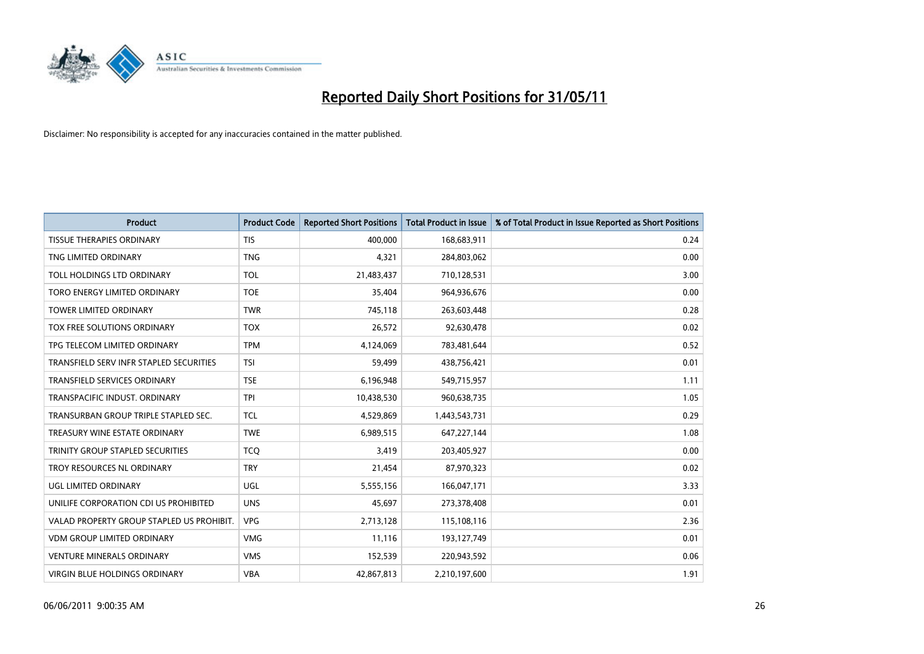

| <b>Product</b>                            | <b>Product Code</b> | <b>Reported Short Positions</b> | Total Product in Issue | % of Total Product in Issue Reported as Short Positions |
|-------------------------------------------|---------------------|---------------------------------|------------------------|---------------------------------------------------------|
| <b>TISSUE THERAPIES ORDINARY</b>          | <b>TIS</b>          | 400.000                         | 168,683,911            | 0.24                                                    |
| TNG LIMITED ORDINARY                      | <b>TNG</b>          | 4,321                           | 284,803,062            | 0.00                                                    |
| TOLL HOLDINGS LTD ORDINARY                | <b>TOL</b>          | 21,483,437                      | 710,128,531            | 3.00                                                    |
| TORO ENERGY LIMITED ORDINARY              | <b>TOE</b>          | 35,404                          | 964,936,676            | 0.00                                                    |
| <b>TOWER LIMITED ORDINARY</b>             | <b>TWR</b>          | 745,118                         | 263,603,448            | 0.28                                                    |
| <b>TOX FREE SOLUTIONS ORDINARY</b>        | <b>TOX</b>          | 26,572                          | 92,630,478             | 0.02                                                    |
| TPG TELECOM LIMITED ORDINARY              | <b>TPM</b>          | 4,124,069                       | 783,481,644            | 0.52                                                    |
| TRANSFIELD SERV INFR STAPLED SECURITIES   | <b>TSI</b>          | 59.499                          | 438,756,421            | 0.01                                                    |
| TRANSFIELD SERVICES ORDINARY              | <b>TSE</b>          | 6,196,948                       | 549,715,957            | 1.11                                                    |
| TRANSPACIFIC INDUST, ORDINARY             | <b>TPI</b>          | 10,438,530                      | 960,638,735            | 1.05                                                    |
| TRANSURBAN GROUP TRIPLE STAPLED SEC.      | <b>TCL</b>          | 4,529,869                       | 1,443,543,731          | 0.29                                                    |
| TREASURY WINE ESTATE ORDINARY             | <b>TWE</b>          | 6,989,515                       | 647,227,144            | 1.08                                                    |
| TRINITY GROUP STAPLED SECURITIES          | <b>TCQ</b>          | 3,419                           | 203,405,927            | 0.00                                                    |
| TROY RESOURCES NL ORDINARY                | <b>TRY</b>          | 21,454                          | 87,970,323             | 0.02                                                    |
| UGL LIMITED ORDINARY                      | UGL                 | 5,555,156                       | 166,047,171            | 3.33                                                    |
| UNILIFE CORPORATION CDI US PROHIBITED     | <b>UNS</b>          | 45,697                          | 273,378,408            | 0.01                                                    |
| VALAD PROPERTY GROUP STAPLED US PROHIBIT. | <b>VPG</b>          | 2,713,128                       | 115,108,116            | 2.36                                                    |
| <b>VDM GROUP LIMITED ORDINARY</b>         | <b>VMG</b>          | 11,116                          | 193,127,749            | 0.01                                                    |
| <b>VENTURE MINERALS ORDINARY</b>          | <b>VMS</b>          | 152,539                         | 220,943,592            | 0.06                                                    |
| VIRGIN BLUE HOLDINGS ORDINARY             | <b>VBA</b>          | 42,867,813                      | 2,210,197,600          | 1.91                                                    |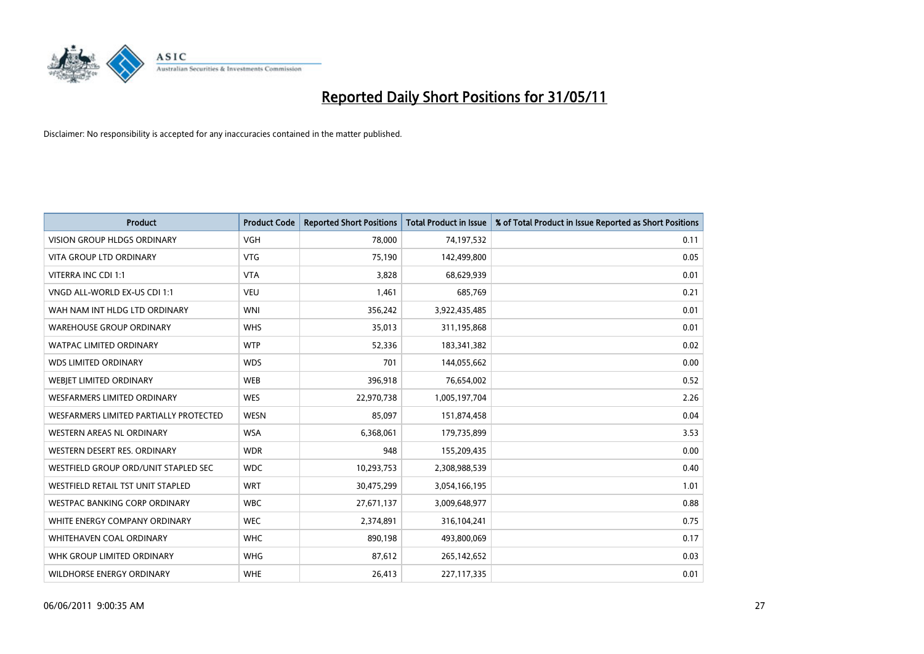

| <b>Product</b>                         | <b>Product Code</b> | <b>Reported Short Positions</b> | <b>Total Product in Issue</b> | % of Total Product in Issue Reported as Short Positions |
|----------------------------------------|---------------------|---------------------------------|-------------------------------|---------------------------------------------------------|
| <b>VISION GROUP HLDGS ORDINARY</b>     | <b>VGH</b>          | 78,000                          | 74,197,532                    | 0.11                                                    |
| <b>VITA GROUP LTD ORDINARY</b>         | <b>VTG</b>          | 75,190                          | 142,499,800                   | 0.05                                                    |
| VITERRA INC CDI 1:1                    | <b>VTA</b>          | 3,828                           | 68,629,939                    | 0.01                                                    |
| VNGD ALL-WORLD EX-US CDI 1:1           | <b>VEU</b>          | 1,461                           | 685,769                       | 0.21                                                    |
| WAH NAM INT HLDG LTD ORDINARY          | <b>WNI</b>          | 356,242                         | 3,922,435,485                 | 0.01                                                    |
| <b>WAREHOUSE GROUP ORDINARY</b>        | <b>WHS</b>          | 35,013                          | 311,195,868                   | 0.01                                                    |
| <b>WATPAC LIMITED ORDINARY</b>         | <b>WTP</b>          | 52,336                          | 183,341,382                   | 0.02                                                    |
| <b>WDS LIMITED ORDINARY</b>            | <b>WDS</b>          | 701                             | 144,055,662                   | 0.00                                                    |
| WEBJET LIMITED ORDINARY                | <b>WEB</b>          | 396,918                         | 76,654,002                    | 0.52                                                    |
| <b>WESFARMERS LIMITED ORDINARY</b>     | <b>WES</b>          | 22,970,738                      | 1,005,197,704                 | 2.26                                                    |
| WESFARMERS LIMITED PARTIALLY PROTECTED | <b>WESN</b>         | 85,097                          | 151,874,458                   | 0.04                                                    |
| <b>WESTERN AREAS NL ORDINARY</b>       | <b>WSA</b>          | 6,368,061                       | 179,735,899                   | 3.53                                                    |
| WESTERN DESERT RES. ORDINARY           | <b>WDR</b>          | 948                             | 155,209,435                   | 0.00                                                    |
| WESTFIELD GROUP ORD/UNIT STAPLED SEC   | <b>WDC</b>          | 10,293,753                      | 2,308,988,539                 | 0.40                                                    |
| WESTFIELD RETAIL TST UNIT STAPLED      | <b>WRT</b>          | 30,475,299                      | 3,054,166,195                 | 1.01                                                    |
| WESTPAC BANKING CORP ORDINARY          | <b>WBC</b>          | 27,671,137                      | 3,009,648,977                 | 0.88                                                    |
| WHITE ENERGY COMPANY ORDINARY          | <b>WEC</b>          | 2,374,891                       | 316,104,241                   | 0.75                                                    |
| <b>WHITEHAVEN COAL ORDINARY</b>        | <b>WHC</b>          | 890,198                         | 493,800,069                   | 0.17                                                    |
| WHK GROUP LIMITED ORDINARY             | <b>WHG</b>          | 87,612                          | 265,142,652                   | 0.03                                                    |
| <b>WILDHORSE ENERGY ORDINARY</b>       | <b>WHE</b>          | 26,413                          | 227,117,335                   | 0.01                                                    |